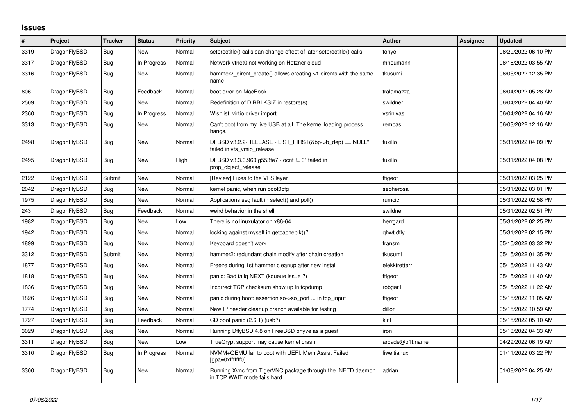## **Issues**

| $\vert$ # | Project      | <b>Tracker</b> | <b>Status</b> | <b>Priority</b> | <b>Subject</b>                                                                             | <b>Author</b>   | <b>Assignee</b> | <b>Updated</b>      |
|-----------|--------------|----------------|---------------|-----------------|--------------------------------------------------------------------------------------------|-----------------|-----------------|---------------------|
| 3319      | DragonFlyBSD | Bug            | <b>New</b>    | Normal          | setproctitle() calls can change effect of later setproctitle() calls                       | tonyc           |                 | 06/29/2022 06:10 PM |
| 3317      | DragonFlyBSD | Bug            | In Progress   | Normal          | Network vtnet0 not working on Hetzner cloud                                                | mneumann        |                 | 06/18/2022 03:55 AM |
| 3316      | DragonFlyBSD | <b>Bug</b>     | New           | Normal          | hammer2 dirent create() allows creating >1 dirents with the same<br>name                   | tkusumi         |                 | 06/05/2022 12:35 PM |
| 806       | DragonFlyBSD | <b>Bug</b>     | Feedback      | Normal          | boot error on MacBook                                                                      | tralamazza      |                 | 06/04/2022 05:28 AM |
| 2509      | DragonFlyBSD | Bug            | New           | Normal          | Redefinition of DIRBLKSIZ in restore(8)                                                    | swildner        |                 | 06/04/2022 04:40 AM |
| 2360      | DragonFlyBSD | <b>Bug</b>     | In Progress   | Normal          | Wishlist: virtio driver import                                                             | vsrinivas       |                 | 06/04/2022 04:16 AM |
| 3313      | DragonFlyBSD | Bug            | New           | Normal          | Can't boot from my live USB at all. The kernel loading process<br>hangs.                   | rempas          |                 | 06/03/2022 12:16 AM |
| 2498      | DragonFlyBSD | Bug            | New           | Normal          | DFBSD v3.2.2-RELEASE - LIST_FIRST(&bp->b_dep) == NULL"<br>failed in vfs vmio release       | tuxillo         |                 | 05/31/2022 04:09 PM |
| 2495      | DragonFlyBSD | Bug            | New           | High            | DFBSD v3.3.0.960.g553fe7 - ocnt != 0" failed in<br>prop object release                     | tuxillo         |                 | 05/31/2022 04:08 PM |
| 2122      | DragonFlyBSD | Submit         | New           | Normal          | [Review] Fixes to the VFS layer                                                            | ftigeot         |                 | 05/31/2022 03:25 PM |
| 2042      | DragonFlyBSD | Bug            | New           | Normal          | kernel panic, when run boot0cfg                                                            | sepherosa       |                 | 05/31/2022 03:01 PM |
| 1975      | DragonFlyBSD | Bug            | <b>New</b>    | Normal          | Applications seg fault in select() and poll()                                              | rumcic          |                 | 05/31/2022 02:58 PM |
| 243       | DragonFlyBSD | Bug            | Feedback      | Normal          | weird behavior in the shell                                                                | swildner        |                 | 05/31/2022 02:51 PM |
| 1982      | DragonFlyBSD | Bug            | New           | Low             | There is no linuxulator on x86-64                                                          | herrgard        |                 | 05/31/2022 02:25 PM |
| 1942      | DragonFlyBSD | Bug            | <b>New</b>    | Normal          | locking against myself in getcacheblk()?                                                   | qhwt.dfly       |                 | 05/31/2022 02:15 PM |
| 1899      | DragonFlyBSD | Bug            | New           | Normal          | Keyboard doesn't work                                                                      | fransm          |                 | 05/15/2022 03:32 PM |
| 3312      | DragonFlyBSD | Submit         | New           | Normal          | hammer2: redundant chain modify after chain creation                                       | tkusumi         |                 | 05/15/2022 01:35 PM |
| 1877      | DragonFlyBSD | Bug            | New           | Normal          | Freeze during 1st hammer cleanup after new install                                         | elekktretterr   |                 | 05/15/2022 11:43 AM |
| 1818      | DragonFlyBSD | Bug            | New           | Normal          | panic: Bad tailq NEXT (kqueue issue ?)                                                     | ftigeot         |                 | 05/15/2022 11:40 AM |
| 1836      | DragonFlyBSD | Bug            | New           | Normal          | Incorrect TCP checksum show up in tcpdump                                                  | robgar1         |                 | 05/15/2022 11:22 AM |
| 1826      | DragonFlyBSD | <b>Bug</b>     | New           | Normal          | panic during boot: assertion so->so port  in tcp input                                     | ftigeot         |                 | 05/15/2022 11:05 AM |
| 1774      | DragonFlyBSD | Bug            | New           | Normal          | New IP header cleanup branch available for testing                                         | dillon          |                 | 05/15/2022 10:59 AM |
| 1727      | DragonFlyBSD | Bug            | Feedback      | Normal          | CD boot panic (2.6.1) (usb?)                                                               | kiril           |                 | 05/15/2022 05:10 AM |
| 3029      | DragonFlyBSD | <b>Bug</b>     | New           | Normal          | Running DflyBSD 4.8 on FreeBSD bhyve as a guest                                            | iron            |                 | 05/13/2022 04:33 AM |
| 3311      | DragonFlyBSD | Bug            | New           | Low             | TrueCrypt support may cause kernel crash                                                   | arcade@b1t.name |                 | 04/29/2022 06:19 AM |
| 3310      | DragonFlyBSD | <b>Bug</b>     | In Progress   | Normal          | NVMM+QEMU fail to boot with UEFI: Mem Assist Failed<br>[gpa=0xfffffff0]                    | liweitianux     |                 | 01/11/2022 03:22 PM |
| 3300      | DragonFlyBSD | Bug            | New           | Normal          | Running Xvnc from TigerVNC package through the INETD daemon<br>in TCP WAIT mode fails hard | adrian          |                 | 01/08/2022 04:25 AM |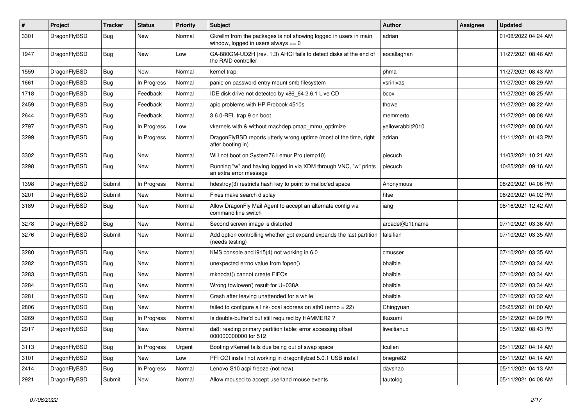| $\pmb{\#}$ | Project      | <b>Tracker</b> | <b>Status</b> | <b>Priority</b> | Subject                                                                                                   | Author           | Assignee | <b>Updated</b>      |
|------------|--------------|----------------|---------------|-----------------|-----------------------------------------------------------------------------------------------------------|------------------|----------|---------------------|
| 3301       | DragonFlyBSD | Bug            | New           | Normal          | Gkrellm from the packages is not showing logged in users in main<br>window, logged in users always $== 0$ | adrian           |          | 01/08/2022 04:24 AM |
| 1947       | DragonFlyBSD | Bug            | <b>New</b>    | Low             | GA-880GM-UD2H (rev. 1.3) AHCI fails to detect disks at the end of<br>the RAID controller                  | eocallaghan      |          | 11/27/2021 08:46 AM |
| 1559       | DragonFlyBSD | <b>Bug</b>     | <b>New</b>    | Normal          | kernel trap                                                                                               | phma             |          | 11/27/2021 08:43 AM |
| 1661       | DragonFlyBSD | Bug            | In Progress   | Normal          | panic on password entry mount smb filesystem                                                              | vsrinivas        |          | 11/27/2021 08:29 AM |
| 1718       | DragonFlyBSD | Bug            | Feedback      | Normal          | IDE disk drive not detected by x86_64 2.6.1 Live CD                                                       | bcox             |          | 11/27/2021 08:25 AM |
| 2459       | DragonFlyBSD | <b>Bug</b>     | Feedback      | Normal          | apic problems with HP Probook 4510s                                                                       | thowe            |          | 11/27/2021 08:22 AM |
| 2644       | DragonFlyBSD | <b>Bug</b>     | Feedback      | Normal          | 3.6.0-REL trap 9 on boot                                                                                  | memmerto         |          | 11/27/2021 08:08 AM |
| 2797       | DragonFlyBSD | <b>Bug</b>     | In Progress   | Low             | vkernels with & without machdep.pmap_mmu_optimize                                                         | yellowrabbit2010 |          | 11/27/2021 08:06 AM |
| 3299       | DragonFlyBSD | <b>Bug</b>     | In Progress   | Normal          | DragonFlyBSD reports utterly wrong uptime (most of the time, right<br>after booting in)                   | adrian           |          | 11/11/2021 01:43 PM |
| 3302       | DragonFlyBSD | <b>Bug</b>     | <b>New</b>    | Normal          | Will not boot on System76 Lemur Pro (lemp10)                                                              | piecuch          |          | 11/03/2021 10:21 AM |
| 3298       | DragonFlyBSD | <b>Bug</b>     | New           | Normal          | Running "w" and having logged in via XDM through VNC, "w" prints<br>an extra error message                | piecuch          |          | 10/25/2021 09:16 AM |
| 1398       | DragonFlyBSD | Submit         | In Progress   | Normal          | hdestroy(3) restricts hash key to point to malloc'ed space                                                | Anonymous        |          | 08/20/2021 04:06 PM |
| 3201       | DragonFlyBSD | Submit         | New           | Normal          | Fixes make search display                                                                                 | htse             |          | 08/20/2021 04:02 PM |
| 3189       | DragonFlyBSD | <b>Bug</b>     | <b>New</b>    | Normal          | Allow DragonFly Mail Agent to accept an alternate config via<br>command line switch                       | iang             |          | 08/16/2021 12:42 AM |
| 3278       | DragonFlyBSD | Bug            | New           | Normal          | Second screen image is distorted                                                                          | arcade@b1t.name  |          | 07/10/2021 03:36 AM |
| 3276       | DragonFlyBSD | Submit         | New           | Normal          | Add option controlling whether gpt expand expands the last partition<br>(needs testing)                   | falsifian        |          | 07/10/2021 03:35 AM |
| 3280       | DragonFlyBSD | Bug            | <b>New</b>    | Normal          | KMS console and i915(4) not working in 6.0                                                                | cmusser          |          | 07/10/2021 03:35 AM |
| 3282       | DragonFlyBSD | <b>Bug</b>     | New           | Normal          | unexpected errno value from fopen()                                                                       | bhaible          |          | 07/10/2021 03:34 AM |
| 3283       | DragonFlyBSD | <b>Bug</b>     | New           | Normal          | mknodat() cannot create FIFOs                                                                             | bhaible          |          | 07/10/2021 03:34 AM |
| 3284       | DragonFlyBSD | <b>Bug</b>     | <b>New</b>    | Normal          | Wrong towlower() result for U+038A                                                                        | bhaible          |          | 07/10/2021 03:34 AM |
| 3281       | DragonFlyBSD | <b>Bug</b>     | New           | Normal          | Crash after leaving unattended for a while                                                                | bhaible          |          | 07/10/2021 03:32 AM |
| 2806       | DragonFlyBSD | Bug            | New           | Normal          | failed to configure a link-local address on ath $0$ (errno = 22)                                          | Chingyuan        |          | 05/25/2021 01:00 AM |
| 3269       | DragonFlyBSD | <b>Bug</b>     | In Progress   | Normal          | Is double-buffer'd buf still required by HAMMER2?                                                         | tkusumi          |          | 05/12/2021 04:09 PM |
| 2917       | DragonFlyBSD | <b>Bug</b>     | New           | Normal          | da8: reading primary partition table: error accessing offset<br>000000000000 for 512                      | liweitianux      |          | 05/11/2021 08:43 PM |
| 3113       | DragonFlyBSD | <b>Bug</b>     | In Progress   | Urgent          | Booting vKernel fails due being out of swap space                                                         | tcullen          |          | 05/11/2021 04:14 AM |
| 3101       | DragonFlyBSD | Bug            | New           | Low             | PFI CGI install not working in dragonflybsd 5.0.1 USB install                                             | bnegre82         |          | 05/11/2021 04:14 AM |
| 2414       | DragonFlyBSD | Bug            | In Progress   | Normal          | Lenovo S10 acpi freeze (not new)                                                                          | davshao          |          | 05/11/2021 04:13 AM |
| 2921       | DragonFlyBSD | Submit         | New           | Normal          | Allow moused to accept userland mouse events                                                              | tautolog         |          | 05/11/2021 04:08 AM |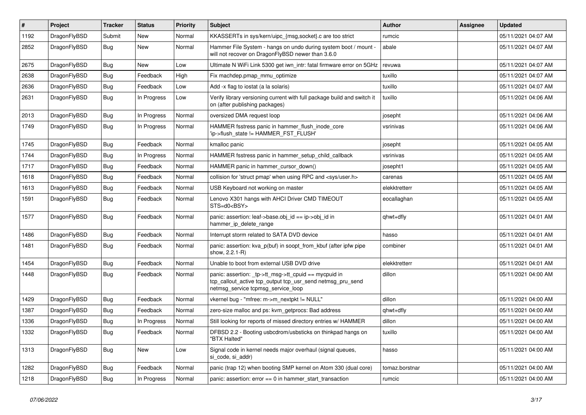| $\vert$ # | <b>Project</b> | <b>Tracker</b> | <b>Status</b> | <b>Priority</b> | <b>Subject</b>                                                                                                                                           | <b>Author</b>  | Assignee | <b>Updated</b>      |
|-----------|----------------|----------------|---------------|-----------------|----------------------------------------------------------------------------------------------------------------------------------------------------------|----------------|----------|---------------------|
| 1192      | DragonFlyBSD   | Submit         | <b>New</b>    | Normal          | KKASSERTs in sys/kern/uipc_{msg,socket}.c are too strict                                                                                                 | rumcic         |          | 05/11/2021 04:07 AM |
| 2852      | DragonFlyBSD   | <b>Bug</b>     | <b>New</b>    | Normal          | Hammer File System - hangs on undo during system boot / mount -<br>will not recover on DragonFlyBSD newer than 3.6.0                                     | abale          |          | 05/11/2021 04:07 AM |
| 2675      | DragonFlyBSD   | Bug            | <b>New</b>    | Low             | Ultimate N WiFi Link 5300 get iwn_intr: fatal firmware error on 5GHz                                                                                     | revuwa         |          | 05/11/2021 04:07 AM |
| 2638      | DragonFlyBSD   | Bug            | Feedback      | High            | Fix machdep.pmap mmu optimize                                                                                                                            | tuxillo        |          | 05/11/2021 04:07 AM |
| 2636      | DragonFlyBSD   | <b>Bug</b>     | Feedback      | Low             | Add -x flag to iostat (a la solaris)                                                                                                                     | tuxillo        |          | 05/11/2021 04:07 AM |
| 2631      | DragonFlyBSD   | Bug            | In Progress   | Low             | Verify library versioning current with full package build and switch it<br>on (after publishing packages)                                                | tuxillo        |          | 05/11/2021 04:06 AM |
| 2013      | DragonFlyBSD   | <b>Bug</b>     | In Progress   | Normal          | oversized DMA request loop                                                                                                                               | josepht        |          | 05/11/2021 04:06 AM |
| 1749      | DragonFlyBSD   | <b>Bug</b>     | In Progress   | Normal          | HAMMER fsstress panic in hammer flush inode core<br>'ip->flush_state != HAMMER_FST_FLUSH'                                                                | vsrinivas      |          | 05/11/2021 04:06 AM |
| 1745      | DragonFlyBSD   | Bug            | Feedback      | Normal          | kmalloc panic                                                                                                                                            | josepht        |          | 05/11/2021 04:05 AM |
| 1744      | DragonFlyBSD   | Bug            | In Progress   | Normal          | HAMMER fsstress panic in hammer setup child callback                                                                                                     | vsrinivas      |          | 05/11/2021 04:05 AM |
| 1717      | DragonFlyBSD   | Bug            | Feedback      | Normal          | HAMMER panic in hammer cursor down()                                                                                                                     | josepht1       |          | 05/11/2021 04:05 AM |
| 1618      | DragonFlyBSD   | Bug            | Feedback      | Normal          | collision for 'struct pmap' when using RPC and <sys user.h=""></sys>                                                                                     | carenas        |          | 05/11/2021 04:05 AM |
| 1613      | DragonFlyBSD   | Bug            | Feedback      | Normal          | USB Keyboard not working on master                                                                                                                       | elekktretterr  |          | 05/11/2021 04:05 AM |
| 1591      | DragonFlyBSD   | Bug            | Feedback      | Normal          | Lenovo X301 hangs with AHCI Driver CMD TIMEOUT<br>STS=d0 <bsy></bsy>                                                                                     | eocallaghan    |          | 05/11/2021 04:05 AM |
| 1577      | DragonFlyBSD   | <b>Bug</b>     | Feedback      | Normal          | panic: assertion: leaf->base.obj_id == ip->obj_id in<br>hammer_ip_delete_range                                                                           | qhwt+dfly      |          | 05/11/2021 04:01 AM |
| 1486      | DragonFlyBSD   | <b>Bug</b>     | Feedback      | Normal          | Interrupt storm related to SATA DVD device                                                                                                               | hasso          |          | 05/11/2021 04:01 AM |
| 1481      | DragonFlyBSD   | <b>Bug</b>     | Feedback      | Normal          | panic: assertion: kva_p(buf) in soopt_from_kbuf (after ipfw pipe<br>show, 2.2.1-R)                                                                       | combiner       |          | 05/11/2021 04:01 AM |
| 1454      | DragonFlyBSD   | Bug            | Feedback      | Normal          | Unable to boot from external USB DVD drive                                                                                                               | elekktretterr  |          | 05/11/2021 04:01 AM |
| 1448      | DragonFlyBSD   | Bug            | Feedback      | Normal          | panic: assertion: tp->tt_msg->tt_cpuid == mycpuid in<br>tcp_callout_active tcp_output tcp_usr_send netmsg_pru_send<br>netmsg service tcpmsg service loop | dillon         |          | 05/11/2021 04:00 AM |
| 1429      | DragonFlyBSD   | <b>Bug</b>     | Feedback      | Normal          | vkernel bug - "mfree: m->m nextpkt != NULL"                                                                                                              | dillon         |          | 05/11/2021 04:00 AM |
| 1387      | DragonFlyBSD   | <b>Bug</b>     | Feedback      | Normal          | zero-size malloc and ps: kvm_getprocs: Bad address                                                                                                       | qhwt+dfly      |          | 05/11/2021 04:00 AM |
| 1336      | DragonFlyBSD   | Bug            | In Progress   | Normal          | Still looking for reports of missed directory entries w/ HAMMER                                                                                          | dillon         |          | 05/11/2021 04:00 AM |
| 1332      | DragonFlyBSD   | <b>Bug</b>     | Feedback      | Normal          | DFBSD 2.2 - Booting usbcdrom/usbsticks on thinkpad hangs on<br>"BTX Halted"                                                                              | tuxillo        |          | 05/11/2021 04:00 AM |
| 1313      | DragonFlyBSD   | <b>Bug</b>     | <b>New</b>    | Low             | Signal code in kernel needs major overhaul (signal queues,<br>si code, si addr)                                                                          | hasso          |          | 05/11/2021 04:00 AM |
| 1282      | DragonFlyBSD   | Bug            | Feedback      | Normal          | panic (trap 12) when booting SMP kernel on Atom 330 (dual core)                                                                                          | tomaz.borstnar |          | 05/11/2021 04:00 AM |
| 1218      | DragonFlyBSD   | Bug            | In Progress   | Normal          | panic: assertion: $error == 0$ in hammer start transaction                                                                                               | rumcic         |          | 05/11/2021 04:00 AM |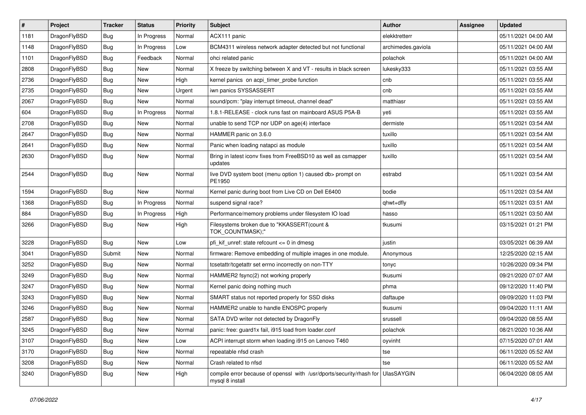| $\sharp$ | Project      | <b>Tracker</b> | <b>Status</b> | <b>Priority</b> | Subject                                                                                 | Author             | Assignee | <b>Updated</b>      |
|----------|--------------|----------------|---------------|-----------------|-----------------------------------------------------------------------------------------|--------------------|----------|---------------------|
| 1181     | DragonFlyBSD | Bug            | In Progress   | Normal          | ACX111 panic                                                                            | elekktretterr      |          | 05/11/2021 04:00 AM |
| 1148     | DragonFlyBSD | <b>Bug</b>     | In Progress   | Low             | BCM4311 wireless network adapter detected but not functional                            | archimedes.gaviola |          | 05/11/2021 04:00 AM |
| 1101     | DragonFlyBSD | <b>Bug</b>     | Feedback      | Normal          | ohci related panic                                                                      | polachok           |          | 05/11/2021 04:00 AM |
| 2808     | DragonFlyBSD | <b>Bug</b>     | New           | Normal          | X freeze by switching between X and VT - results in black screen                        | lukesky333         |          | 05/11/2021 03:55 AM |
| 2736     | DragonFlyBSD | <b>Bug</b>     | <b>New</b>    | High            | kernel panics on acpi timer probe function                                              | cnb                |          | 05/11/2021 03:55 AM |
| 2735     | DragonFlyBSD | <b>Bug</b>     | <b>New</b>    | Urgent          | iwn panics SYSSASSERT                                                                   | cnb                |          | 05/11/2021 03:55 AM |
| 2067     | DragonFlyBSD | <b>Bug</b>     | <b>New</b>    | Normal          | sound/pcm: "play interrupt timeout, channel dead"                                       | matthiasr          |          | 05/11/2021 03:55 AM |
| 604      | DragonFlyBSD | <b>Bug</b>     | In Progress   | Normal          | 1.8.1-RELEASE - clock runs fast on mainboard ASUS P5A-B                                 | yeti               |          | 05/11/2021 03:55 AM |
| 2708     | DragonFlyBSD | <b>Bug</b>     | New           | Normal          | unable to send TCP nor UDP on age(4) interface                                          | dermiste           |          | 05/11/2021 03:54 AM |
| 2647     | DragonFlyBSD | <b>Bug</b>     | New           | Normal          | HAMMER panic on 3.6.0                                                                   | tuxillo            |          | 05/11/2021 03:54 AM |
| 2641     | DragonFlyBSD | <b>Bug</b>     | New           | Normal          | Panic when loading natapci as module                                                    | tuxillo            |          | 05/11/2021 03:54 AM |
| 2630     | DragonFlyBSD | <b>Bug</b>     | <b>New</b>    | Normal          | Bring in latest iconv fixes from FreeBSD10 as well as csmapper<br>updates               | tuxillo            |          | 05/11/2021 03:54 AM |
| 2544     | DragonFlyBSD | <b>Bug</b>     | New           | Normal          | live DVD system boot (menu option 1) caused db> prompt on<br>PE1950                     | estrabd            |          | 05/11/2021 03:54 AM |
| 1594     | DragonFlyBSD | <b>Bug</b>     | New           | Normal          | Kernel panic during boot from Live CD on Dell E6400                                     | bodie              |          | 05/11/2021 03:54 AM |
| 1368     | DragonFlyBSD | <b>Bug</b>     | In Progress   | Normal          | suspend signal race?                                                                    | qhwt+dfly          |          | 05/11/2021 03:51 AM |
| 884      | DragonFlyBSD | <b>Bug</b>     | In Progress   | High            | Performance/memory problems under filesystem IO load                                    | hasso              |          | 05/11/2021 03:50 AM |
| 3266     | DragonFlyBSD | <b>Bug</b>     | New           | High            | Filesystems broken due to "KKASSERT(count &<br>TOK_COUNTMASK);"                         | tkusumi            |          | 03/15/2021 01:21 PM |
| 3228     | DragonFlyBSD | <b>Bug</b>     | <b>New</b>    | Low             | pfi kif unref: state refcount $\leq$ 0 in dmesg                                         | justin             |          | 03/05/2021 06:39 AM |
| 3041     | DragonFlyBSD | Submit         | New           | Normal          | firmware: Remove embedding of multiple images in one module.                            | Anonymous          |          | 12/25/2020 02:15 AM |
| 3252     | DragonFlyBSD | <b>Bug</b>     | <b>New</b>    | Normal          | tcsetattr/tcgetattr set errno incorrectly on non-TTY                                    | tonyc              |          | 10/26/2020 09:34 PM |
| 3249     | DragonFlyBSD | <b>Bug</b>     | New           | Normal          | HAMMER2 fsync(2) not working properly                                                   | tkusumi            |          | 09/21/2020 07:07 AM |
| 3247     | DragonFlyBSD | <b>Bug</b>     | New           | Normal          | Kernel panic doing nothing much                                                         | phma               |          | 09/12/2020 11:40 PM |
| 3243     | DragonFlyBSD | Bug            | <b>New</b>    | Normal          | SMART status not reported properly for SSD disks                                        | daftaupe           |          | 09/09/2020 11:03 PM |
| 3246     | DragonFlyBSD | <b>Bug</b>     | New           | Normal          | HAMMER2 unable to handle ENOSPC properly                                                | tkusumi            |          | 09/04/2020 11:11 AM |
| 2587     | DragonFlyBSD | <b>Bug</b>     | New           | Normal          | SATA DVD writer not detected by DragonFly                                               | srussell           |          | 09/04/2020 08:55 AM |
| 3245     | DragonFlyBSD | Bug            | <b>New</b>    | Normal          | panic: free: quard1x fail, i915 load from loader.conf                                   | polachok           |          | 08/21/2020 10:36 AM |
| 3107     | DragonFlyBSD | <b>Bug</b>     | <b>New</b>    | Low             | ACPI interrupt storm when loading i915 on Lenovo T460                                   | oyvinht            |          | 07/15/2020 07:01 AM |
| 3170     | DragonFlyBSD | Bug            | <b>New</b>    | Normal          | repeatable nfsd crash                                                                   | tse                |          | 06/11/2020 05:52 AM |
| 3208     | DragonFlyBSD | <b>Bug</b>     | New           | Normal          | Crash related to nfsd                                                                   | tse                |          | 06/11/2020 05:52 AM |
| 3240     | DragonFlyBSD | <b>Bug</b>     | New           | High            | compile error because of openssl with /usr/dports/security/rhash for<br>mysql 8 install | UlasSAYGIN         |          | 06/04/2020 08:05 AM |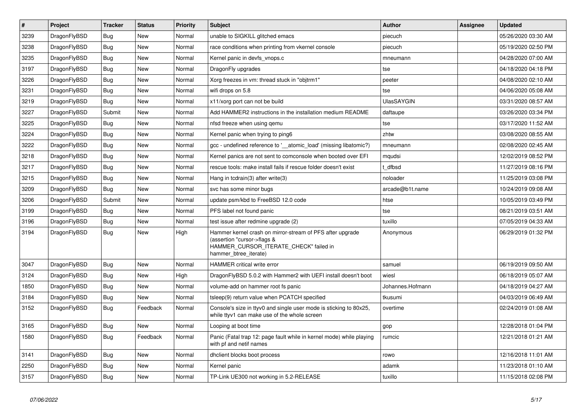| $\vert$ # | <b>Project</b> | <b>Tracker</b> | <b>Status</b> | <b>Priority</b> | <b>Subject</b>                                                                                                                                              | Author            | Assignee | <b>Updated</b>      |
|-----------|----------------|----------------|---------------|-----------------|-------------------------------------------------------------------------------------------------------------------------------------------------------------|-------------------|----------|---------------------|
| 3239      | DragonFlyBSD   | Bug            | <b>New</b>    | Normal          | unable to SIGKILL glitched emacs                                                                                                                            | piecuch           |          | 05/26/2020 03:30 AM |
| 3238      | DragonFlyBSD   | <b>Bug</b>     | New           | Normal          | race conditions when printing from vkernel console                                                                                                          | piecuch           |          | 05/19/2020 02:50 PM |
| 3235      | DragonFlyBSD   | <b>Bug</b>     | <b>New</b>    | Normal          | Kernel panic in devfs_vnops.c                                                                                                                               | mneumann          |          | 04/28/2020 07:00 AM |
| 3197      | DragonFlyBSD   | Bug            | New           | Normal          | DragonFly upgrades                                                                                                                                          | tse               |          | 04/18/2020 04:18 PM |
| 3226      | DragonFlyBSD   | Bug            | <b>New</b>    | Normal          | Xorg freezes in vm: thread stuck in "objtrm1"                                                                                                               | peeter            |          | 04/08/2020 02:10 AM |
| 3231      | DragonFlyBSD   | <b>Bug</b>     | <b>New</b>    | Normal          | wifi drops on 5.8                                                                                                                                           | tse               |          | 04/06/2020 05:08 AM |
| 3219      | DragonFlyBSD   | Bug            | <b>New</b>    | Normal          | x11/xorg port can not be build                                                                                                                              | <b>UlasSAYGIN</b> |          | 03/31/2020 08:57 AM |
| 3227      | DragonFlyBSD   | Submit         | New           | Normal          | Add HAMMER2 instructions in the installation medium README                                                                                                  | daftaupe          |          | 03/26/2020 03:34 PM |
| 3225      | DragonFlyBSD   | Bug            | <b>New</b>    | Normal          | nfsd freeze when using gemu                                                                                                                                 | tse               |          | 03/17/2020 11:52 AM |
| 3224      | DragonFlyBSD   | <b>Bug</b>     | <b>New</b>    | Normal          | Kernel panic when trying to ping6                                                                                                                           | zhtw              |          | 03/08/2020 08:55 AM |
| 3222      | DragonFlyBSD   | <b>Bug</b>     | <b>New</b>    | Normal          | gcc - undefined reference to '__atomic_load' (missing libatomic?)                                                                                           | mneumann          |          | 02/08/2020 02:45 AM |
| 3218      | DragonFlyBSD   | Bug            | <b>New</b>    | Normal          | Kernel panics are not sent to comconsole when booted over EFI                                                                                               | mqudsi            |          | 12/02/2019 08:52 PM |
| 3217      | DragonFlyBSD   | Bug            | <b>New</b>    | Normal          | rescue tools: make install fails if rescue folder doesn't exist                                                                                             | t dfbsd           |          | 11/27/2019 08:16 PM |
| 3215      | DragonFlyBSD   | <b>Bug</b>     | <b>New</b>    | Normal          | Hang in tcdrain(3) after write(3)                                                                                                                           | noloader          |          | 11/25/2019 03:08 PM |
| 3209      | DragonFlyBSD   | Bug            | <b>New</b>    | Normal          | svc has some minor bugs                                                                                                                                     | arcade@b1t.name   |          | 10/24/2019 09:08 AM |
| 3206      | DragonFlyBSD   | Submit         | New           | Normal          | update psm/kbd to FreeBSD 12.0 code                                                                                                                         | htse              |          | 10/05/2019 03:49 PM |
| 3199      | DragonFlyBSD   | <b>Bug</b>     | <b>New</b>    | Normal          | PFS label not found panic                                                                                                                                   | tse               |          | 08/21/2019 03:51 AM |
| 3196      | DragonFlyBSD   | <b>Bug</b>     | <b>New</b>    | Normal          | test issue after redmine upgrade (2)                                                                                                                        | tuxillo           |          | 07/05/2019 04:33 AM |
| 3194      | DragonFlyBSD   | Bug            | <b>New</b>    | High            | Hammer kernel crash on mirror-stream of PFS after upgrade<br>(assertion "cursor->flags &<br>HAMMER_CURSOR_ITERATE_CHECK" failed in<br>hammer btree iterate) | Anonymous         |          | 06/29/2019 01:32 PM |
| 3047      | DragonFlyBSD   | Bug            | <b>New</b>    | Normal          | HAMMER critical write error                                                                                                                                 | samuel            |          | 06/19/2019 09:50 AM |
| 3124      | DragonFlyBSD   | Bug            | <b>New</b>    | High            | DragonFlyBSD 5.0.2 with Hammer2 with UEFI install doesn't boot                                                                                              | wiesl             |          | 06/18/2019 05:07 AM |
| 1850      | DragonFlyBSD   | <b>Bug</b>     | New           | Normal          | volume-add on hammer root fs panic                                                                                                                          | Johannes.Hofmann  |          | 04/18/2019 04:27 AM |
| 3184      | DragonFlyBSD   | Bug            | <b>New</b>    | Normal          | tsleep(9) return value when PCATCH specified                                                                                                                | tkusumi           |          | 04/03/2019 06:49 AM |
| 3152      | DragonFlyBSD   | Bug            | Feedback      | Normal          | Console's size in ttyv0 and single user mode is sticking to 80x25,<br>while ttyv1 can make use of the whole screen                                          | overtime          |          | 02/24/2019 01:08 AM |
| 3165      | DragonFlyBSD   | <b>Bug</b>     | <b>New</b>    | Normal          | Looping at boot time                                                                                                                                        | gop               |          | 12/28/2018 01:04 PM |
| 1580      | DragonFlyBSD   | Bug            | Feedback      | Normal          | Panic (Fatal trap 12: page fault while in kernel mode) while playing<br>with pf and netif names                                                             | rumcic            |          | 12/21/2018 01:21 AM |
| 3141      | DragonFlyBSD   | <b>Bug</b>     | <b>New</b>    | Normal          | dhclient blocks boot process                                                                                                                                | rowo              |          | 12/16/2018 11:01 AM |
| 2250      | DragonFlyBSD   | Bug            | <b>New</b>    | Normal          | Kernel panic                                                                                                                                                | adamk             |          | 11/23/2018 01:10 AM |
| 3157      | DragonFlyBSD   | Bug            | <b>New</b>    | Normal          | TP-Link UE300 not working in 5.2-RELEASE                                                                                                                    | tuxillo           |          | 11/15/2018 02:08 PM |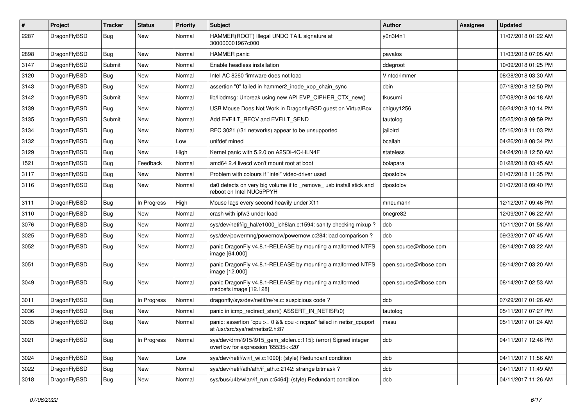| $\pmb{\#}$ | Project      | <b>Tracker</b> | <b>Status</b> | <b>Priority</b> | Subject                                                                                                 | <b>Author</b>          | Assignee | <b>Updated</b>      |
|------------|--------------|----------------|---------------|-----------------|---------------------------------------------------------------------------------------------------------|------------------------|----------|---------------------|
| 2287       | DragonFlyBSD | Bug            | New           | Normal          | HAMMER(ROOT) Illegal UNDO TAIL signature at<br>300000001967c000                                         | y0n3t4n1               |          | 11/07/2018 01:22 AM |
| 2898       | DragonFlyBSD | Bug            | <b>New</b>    | Normal          | <b>HAMMER</b> panic                                                                                     | pavalos                |          | 11/03/2018 07:05 AM |
| 3147       | DragonFlyBSD | Submit         | New           | Normal          | Enable headless installation                                                                            | ddegroot               |          | 10/09/2018 01:25 PM |
| 3120       | DragonFlyBSD | Bug            | <b>New</b>    | Normal          | Intel AC 8260 firmware does not load                                                                    | Vintodrimmer           |          | 08/28/2018 03:30 AM |
| 3143       | DragonFlyBSD | Bug            | <b>New</b>    | Normal          | assertion "0" failed in hammer2_inode_xop_chain_sync                                                    | cbin                   |          | 07/18/2018 12:50 PM |
| 3142       | DragonFlyBSD | Submit         | New           | Normal          | lib/libdmsg: Unbreak using new API EVP CIPHER CTX new()                                                 | tkusumi                |          | 07/08/2018 04:18 AM |
| 3139       | DragonFlyBSD | Bug            | New           | Normal          | USB Mouse Does Not Work in DragonflyBSD guest on VirtualBox                                             | chiguy1256             |          | 06/24/2018 10:14 PM |
| 3135       | DragonFlyBSD | Submit         | New           | Normal          | Add EVFILT RECV and EVFILT SEND                                                                         | tautolog               |          | 05/25/2018 09:59 PM |
| 3134       | DragonFlyBSD | <b>Bug</b>     | <b>New</b>    | Normal          | RFC 3021 (/31 networks) appear to be unsupported                                                        | jailbird               |          | 05/16/2018 11:03 PM |
| 3132       | DragonFlyBSD | Bug            | New           | Low             | unifdef mined                                                                                           | bcallah                |          | 04/26/2018 08:34 PM |
| 3129       | DragonFlyBSD | Bug            | <b>New</b>    | High            | Kernel panic with 5.2.0 on A2SDi-4C-HLN4F                                                               | stateless              |          | 04/24/2018 12:50 AM |
| 1521       | DragonFlyBSD | Bug            | Feedback      | Normal          | amd64 2.4 livecd won't mount root at boot                                                               | bolapara               |          | 01/28/2018 03:45 AM |
| 3117       | DragonFlyBSD | Bug            | <b>New</b>    | Normal          | Problem with colours if "intel" video-driver used                                                       | dpostolov              |          | 01/07/2018 11:35 PM |
| 3116       | DragonFlyBSD | Bug            | <b>New</b>    | Normal          | da0 detects on very big volume if to _remove_ usb install stick and<br>reboot on Intel NUC5PPYH         | dpostolov              |          | 01/07/2018 09:40 PM |
| 3111       | DragonFlyBSD | Bug            | In Progress   | High            | Mouse lags every second heavily under X11                                                               | mneumann               |          | 12/12/2017 09:46 PM |
| 3110       | DragonFlyBSD | Bug            | <b>New</b>    | Normal          | crash with ipfw3 under load                                                                             | bnegre82               |          | 12/09/2017 06:22 AM |
| 3076       | DragonFlyBSD | Bug            | <b>New</b>    | Normal          | sys/dev/netif/ig_hal/e1000_ich8lan.c:1594: sanity checking mixup?                                       | dcb                    |          | 10/11/2017 01:58 AM |
| 3025       | DragonFlyBSD | Bug            | New           | Normal          | sys/dev/powermng/powernow/powernow.c:284: bad comparison?                                               | dcb                    |          | 09/23/2017 07:45 AM |
| 3052       | DragonFlyBSD | Bug            | New           | Normal          | panic DragonFly v4.8.1-RELEASE by mounting a malformed NTFS<br>image [64.000]                           | open.source@ribose.com |          | 08/14/2017 03:22 AM |
| 3051       | DragonFlyBSD | Bug            | <b>New</b>    | Normal          | panic DragonFly v4.8.1-RELEASE by mounting a malformed NTFS<br>image [12.000]                           | open.source@ribose.com |          | 08/14/2017 03:20 AM |
| 3049       | DragonFlyBSD | Bug            | <b>New</b>    | Normal          | panic DragonFly v4.8.1-RELEASE by mounting a malformed<br>msdosfs image [12.128]                        | open.source@ribose.com |          | 08/14/2017 02:53 AM |
| 3011       | DragonFlyBSD | Bug            | In Progress   | Normal          | dragonfly/sys/dev/netif/re/re.c: suspicious code?                                                       | dcb                    |          | 07/29/2017 01:26 AM |
| 3036       | DragonFlyBSD | Bug            | New           | Normal          | panic in icmp_redirect_start() ASSERT_IN_NETISR(0)                                                      | tautolog               |          | 05/11/2017 07:27 PM |
| 3035       | DragonFlyBSD | Bug            | New           | Normal          | panic: assertion "cpu >= 0 && cpu < ncpus" failed in netisr_cpuport<br>at /usr/src/sys/net/netisr2.h:87 | masu                   |          | 05/11/2017 01:24 AM |
| 3021       | DragonFlyBSD | Bug            | In Progress   | Normal          | sys/dev/drm/i915/i915_gem_stolen.c:115]: (error) Signed integer<br>overflow for expression '65535<<20'  | dcb                    |          | 04/11/2017 12:46 PM |
| 3024       | DragonFlyBSD | Bug            | <b>New</b>    | Low             | sys/dev/netif/wi/if_wi.c:1090]: (style) Redundant condition                                             | dcb                    |          | 04/11/2017 11:56 AM |
| 3022       | DragonFlyBSD | Bug            | New           | Normal          | sys/dev/netif/ath/ath/if ath.c:2142: strange bitmask?                                                   | dcb                    |          | 04/11/2017 11:49 AM |
| 3018       | DragonFlyBSD | <b>Bug</b>     | New           | Normal          | sys/bus/u4b/wlan/if_run.c:5464]: (style) Redundant condition                                            | dcb                    |          | 04/11/2017 11:26 AM |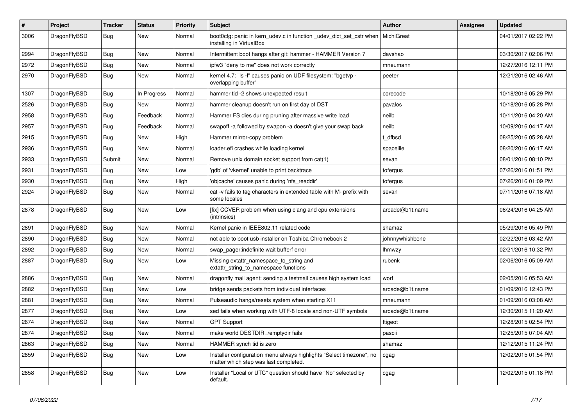| $\#$ | Project      | <b>Tracker</b> | <b>Status</b> | <b>Priority</b> | Subject                                                                                                       | Author          | Assignee | <b>Updated</b>      |
|------|--------------|----------------|---------------|-----------------|---------------------------------------------------------------------------------------------------------------|-----------------|----------|---------------------|
| 3006 | DragonFlyBSD | Bug            | New           | Normal          | boot0cfg: panic in kern_udev.c in function _udev_dict_set_cstr when<br>installing in VirtualBox               | MichiGreat      |          | 04/01/2017 02:22 PM |
| 2994 | DragonFlyBSD | Bug            | New           | Normal          | Intermittent boot hangs after git: hammer - HAMMER Version 7                                                  | davshao         |          | 03/30/2017 02:06 PM |
| 2972 | DragonFlyBSD | Bug            | <b>New</b>    | Normal          | ipfw3 "deny to me" does not work correctly                                                                    | mneumann        |          | 12/27/2016 12:11 PM |
| 2970 | DragonFlyBSD | Bug            | New           | Normal          | kernel 4.7: "Is -l" causes panic on UDF filesystem: "bgetvp -<br>overlapping buffer"                          | peeter          |          | 12/21/2016 02:46 AM |
| 1307 | DragonFlyBSD | Bug            | In Progress   | Normal          | hammer tid -2 shows unexpected result                                                                         | corecode        |          | 10/18/2016 05:29 PM |
| 2526 | DragonFlyBSD | Bug            | New           | Normal          | hammer cleanup doesn't run on first day of DST                                                                | pavalos         |          | 10/18/2016 05:28 PM |
| 2958 | DragonFlyBSD | Bug            | Feedback      | Normal          | Hammer FS dies during pruning after massive write load                                                        | neilb           |          | 10/11/2016 04:20 AM |
| 2957 | DragonFlyBSD | Bug            | Feedback      | Normal          | swapoff -a followed by swapon -a doesn't give your swap back                                                  | neilb           |          | 10/09/2016 04:17 AM |
| 2915 | DragonFlyBSD | Bug            | New           | High            | Hammer mirror-copy problem                                                                                    | t dfbsd         |          | 08/25/2016 05:28 AM |
| 2936 | DragonFlyBSD | Bug            | New           | Normal          | loader.efi crashes while loading kernel                                                                       | spaceille       |          | 08/20/2016 06:17 AM |
| 2933 | DragonFlyBSD | Submit         | New           | Normal          | Remove unix domain socket support from cat(1)                                                                 | sevan           |          | 08/01/2016 08:10 PM |
| 2931 | DragonFlyBSD | Bug            | New           | Low             | 'gdb' of 'vkernel' unable to print backtrace                                                                  | tofergus        |          | 07/26/2016 01:51 PM |
| 2930 | DragonFlyBSD | Bug            | New           | High            | 'objcache' causes panic during 'nfs_readdir'                                                                  | tofergus        |          | 07/26/2016 01:09 PM |
| 2924 | DragonFlyBSD | <b>Bug</b>     | New           | Normal          | cat -v fails to tag characters in extended table with M- prefix with<br>some locales                          | sevan           |          | 07/11/2016 07:18 AM |
| 2878 | DragonFlyBSD | Bug            | New           | Low             | [fix] CCVER problem when using clang and cpu extensions<br>(intrinsics)                                       | arcade@b1t.name |          | 06/24/2016 04:25 AM |
| 2891 | DragonFlyBSD | <b>Bug</b>     | New           | Normal          | Kernel panic in IEEE802.11 related code                                                                       | shamaz          |          | 05/29/2016 05:49 PM |
| 2890 | DragonFlyBSD | <b>Bug</b>     | New           | Normal          | not able to boot usb installer on Toshiba Chromebook 2                                                        | johnnywhishbone |          | 02/22/2016 03:42 AM |
| 2892 | DragonFlyBSD | <b>Bug</b>     | <b>New</b>    | Normal          | swap pager:indefinite wait bufferf error                                                                      | lhmwzy          |          | 02/21/2016 10:32 PM |
| 2887 | DragonFlyBSD | <b>Bug</b>     | New           | Low             | Missing extattr_namespace_to_string and<br>extattr_string_to_namespace functions                              | rubenk          |          | 02/06/2016 05:09 AM |
| 2886 | DragonFlyBSD | Bug            | New           | Normal          | dragonfly mail agent: sending a testmail causes high system load                                              | worf            |          | 02/05/2016 05:53 AM |
| 2882 | DragonFlyBSD | Bug            | <b>New</b>    | Low             | bridge sends packets from individual interfaces                                                               | arcade@b1t.name |          | 01/09/2016 12:43 PM |
| 2881 | DragonFlyBSD | <b>Bug</b>     | New           | Normal          | Pulseaudio hangs/resets system when starting X11                                                              | mneumann        |          | 01/09/2016 03:08 AM |
| 2877 | DragonFlyBSD | <b>Bug</b>     | New           | Low             | sed fails when working with UTF-8 locale and non-UTF symbols                                                  | arcade@b1t.name |          | 12/30/2015 11:20 AM |
| 2674 | DragonFlyBSD | Bug            | New           | Normal          | <b>GPT Support</b>                                                                                            | ftigeot         |          | 12/28/2015 02:54 PM |
| 2874 | DragonFlyBSD | <b>Bug</b>     | New           | Normal          | make world DESTDIR=/emptydir fails                                                                            | pascii          |          | 12/25/2015 07:04 AM |
| 2863 | DragonFlyBSD | <b>Bug</b>     | <b>New</b>    | Normal          | HAMMER synch tid is zero                                                                                      | shamaz          |          | 12/12/2015 11:24 PM |
| 2859 | DragonFlyBSD | <b>Bug</b>     | New           | Low             | Installer configuration menu always highlights "Select timezone", no<br>matter which step was last completed. | cgag            |          | 12/02/2015 01:54 PM |
| 2858 | DragonFlyBSD | <b>Bug</b>     | New           | Low             | Installer "Local or UTC" question should have "No" selected by<br>default.                                    | cgag            |          | 12/02/2015 01:18 PM |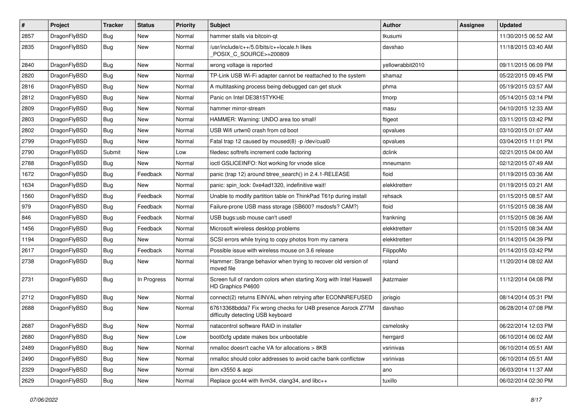| $\sharp$ | Project      | <b>Tracker</b> | <b>Status</b> | <b>Priority</b> | Subject                                                                                          | Author           | Assignee | <b>Updated</b>      |
|----------|--------------|----------------|---------------|-----------------|--------------------------------------------------------------------------------------------------|------------------|----------|---------------------|
| 2857     | DragonFlyBSD | <b>Bug</b>     | New           | Normal          | hammer stalls via bitcoin-qt                                                                     | tkusumi          |          | 11/30/2015 06:52 AM |
| 2835     | DragonFlyBSD | <b>Bug</b>     | New           | Normal          | /usr/include/c++/5.0/bits/c++locale.h likes<br>POSIX_C_SOURCE>=200809                            | davshao          |          | 11/18/2015 03:40 AM |
| 2840     | DragonFlyBSD | Bug            | <b>New</b>    | Normal          | wrong voltage is reported                                                                        | yellowrabbit2010 |          | 09/11/2015 06:09 PM |
| 2820     | DragonFlyBSD | Bug            | <b>New</b>    | Normal          | TP-Link USB Wi-Fi adapter cannot be reattached to the system                                     | shamaz           |          | 05/22/2015 09:45 PM |
| 2816     | DragonFlyBSD | Bug            | <b>New</b>    | Normal          | A multitasking process being debugged can get stuck                                              | phma             |          | 05/19/2015 03:57 AM |
| 2812     | DragonFlyBSD | Bug            | <b>New</b>    | Normal          | Panic on Intel DE3815TYKHE                                                                       | tmorp            |          | 05/14/2015 03:14 PM |
| 2809     | DragonFlyBSD | <b>Bug</b>     | <b>New</b>    | Normal          | hammer mirror-stream                                                                             | masu             |          | 04/10/2015 12:33 AM |
| 2803     | DragonFlyBSD | <b>Bug</b>     | New           | Normal          | HAMMER: Warning: UNDO area too small!                                                            | ftigeot          |          | 03/11/2015 03:42 PM |
| 2802     | DragonFlyBSD | Bug            | <b>New</b>    | Normal          | USB Wifi urtwn0 crash from cd boot                                                               | opvalues         |          | 03/10/2015 01:07 AM |
| 2799     | DragonFlyBSD | Bug            | New           | Normal          | Fatal trap 12 caused by moused(8) -p/dev/cual0                                                   | opvalues         |          | 03/04/2015 11:01 PM |
| 2790     | DragonFlyBSD | Submit         | New           | Low             | filedesc softrefs increment code factoring                                                       | dclink           |          | 02/21/2015 04:00 AM |
| 2788     | DragonFlyBSD | Bug            | New           | Normal          | ioctl GSLICEINFO: Not working for vnode slice                                                    | mneumann         |          | 02/12/2015 07:49 AM |
| 1672     | DragonFlyBSD | <b>Bug</b>     | Feedback      | Normal          | panic (trap 12) around btree_search() in 2.4.1-RELEASE                                           | floid            |          | 01/19/2015 03:36 AM |
| 1634     | DragonFlyBSD | Bug            | New           | Normal          | panic: spin_lock: 0xe4ad1320, indefinitive wait!                                                 | elekktretterr    |          | 01/19/2015 03:21 AM |
| 1560     | DragonFlyBSD | <b>Bug</b>     | Feedback      | Normal          | Unable to modify partition table on ThinkPad T61p during install                                 | rehsack          |          | 01/15/2015 08:57 AM |
| 979      | DragonFlyBSD | Bug            | Feedback      | Normal          | Failure-prone USB mass storage (SB600? msdosfs? CAM?)                                            | floid            |          | 01/15/2015 08:38 AM |
| 846      | DragonFlyBSD | <b>Bug</b>     | Feedback      | Normal          | USB bugs:usb mouse can't used!                                                                   | frankning        |          | 01/15/2015 08:36 AM |
| 1456     | DragonFlyBSD | Bug            | Feedback      | Normal          | Microsoft wireless desktop problems                                                              | elekktretterr    |          | 01/15/2015 08:34 AM |
| 1194     | DragonFlyBSD | Bug            | New           | Normal          | SCSI errors while trying to copy photos from my camera                                           | elekktretterr    |          | 01/14/2015 04:39 PM |
| 2617     | DragonFlyBSD | <b>Bug</b>     | Feedback      | Normal          | Possible issue with wireless mouse on 3.6 release                                                | FilippoMo        |          | 01/14/2015 03:42 PM |
| 2738     | DragonFlyBSD | <b>Bug</b>     | New           | Normal          | Hammer: Strange behavior when trying to recover old version of<br>moved file                     | roland           |          | 11/20/2014 08:02 AM |
| 2731     | DragonFlyBSD | <b>Bug</b>     | In Progress   | Normal          | Screen full of random colors when starting Xorg with Intel Haswell<br>HD Graphics P4600          | ikatzmaier       |          | 11/12/2014 04:08 PM |
| 2712     | DragonFlyBSD | Bug            | <b>New</b>    | Normal          | connect(2) returns EINVAL when retrying after ECONNREFUSED                                       | jorisgio         |          | 08/14/2014 05:31 PM |
| 2688     | DragonFlyBSD | Bug            | <b>New</b>    | Normal          | 67613368bdda7 Fix wrong checks for U4B presence Asrock Z77M<br>difficulty detecting USB keyboard | davshao          |          | 06/28/2014 07:08 PM |
| 2687     | DragonFlyBSD | Bug            | <b>New</b>    | Normal          | natacontrol software RAID in installer                                                           | csmelosky        |          | 06/22/2014 12:03 PM |
| 2680     | DragonFlyBSD | <b>Bug</b>     | New           | Low             | boot0cfg update makes box unbootable                                                             | herrgard         |          | 06/10/2014 06:02 AM |
| 2489     | DragonFlyBSD | <b>Bug</b>     | <b>New</b>    | Normal          | nmalloc doesn't cache VA for allocations > 8KB                                                   | vsrinivas        |          | 06/10/2014 05:51 AM |
| 2490     | DragonFlyBSD | <b>Bug</b>     | New           | Normal          | nmalloc should color addresses to avoid cache bank conflictsw                                    | vsrinivas        |          | 06/10/2014 05:51 AM |
| 2329     | DragonFlyBSD | <b>Bug</b>     | New           | Normal          | ibm x3550 & acpi                                                                                 | ano              |          | 06/03/2014 11:37 AM |
| 2629     | DragonFlyBSD | <b>Bug</b>     | New           | Normal          | Replace gcc44 with llvm34, clang34, and libc++                                                   | tuxillo          |          | 06/02/2014 02:30 PM |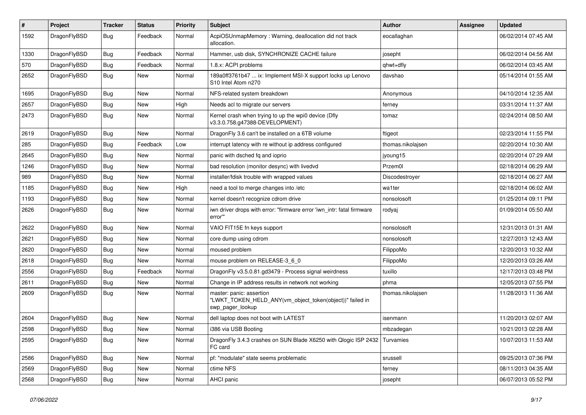| #    | Project      | <b>Tracker</b> | <b>Status</b> | <b>Priority</b> | Subject                                                                                                  | <b>Author</b>     | Assignee | <b>Updated</b>      |
|------|--------------|----------------|---------------|-----------------|----------------------------------------------------------------------------------------------------------|-------------------|----------|---------------------|
| 1592 | DragonFlyBSD | Bug            | Feedback      | Normal          | AcpiOSUnmapMemory: Warning, deallocation did not track<br>allocation.                                    | eocallaghan       |          | 06/02/2014 07:45 AM |
| 1330 | DragonFlyBSD | <b>Bug</b>     | Feedback      | Normal          | Hammer, usb disk, SYNCHRONIZE CACHE failure                                                              | josepht           |          | 06/02/2014 04:56 AM |
| 570  | DragonFlyBSD | <b>Bug</b>     | Feedback      | Normal          | 1.8.x: ACPI problems                                                                                     | qhwt+dfly         |          | 06/02/2014 03:45 AM |
| 2652 | DragonFlyBSD | <b>Bug</b>     | New           | Normal          | 189a0ff3761b47  ix: Implement MSI-X support locks up Lenovo<br>S10 Intel Atom n270                       | davshao           |          | 05/14/2014 01:55 AM |
| 1695 | DragonFlyBSD | <b>Bug</b>     | <b>New</b>    | Normal          | NFS-related system breakdown                                                                             | Anonymous         |          | 04/10/2014 12:35 AM |
| 2657 | DragonFlyBSD | Bug            | <b>New</b>    | High            | Needs acl to migrate our servers                                                                         | ferney            |          | 03/31/2014 11:37 AM |
| 2473 | DragonFlyBSD | Bug            | New           | Normal          | Kernel crash when trying to up the wpi0 device (Dfly<br>v3.3.0.758.g47388-DEVELOPMENT)                   | tomaz             |          | 02/24/2014 08:50 AM |
| 2619 | DragonFlyBSD | <b>Bug</b>     | <b>New</b>    | Normal          | DragonFly 3.6 can't be installed on a 6TB volume                                                         | ftigeot           |          | 02/23/2014 11:55 PM |
| 285  | DragonFlyBSD | <b>Bug</b>     | Feedback      | Low             | interrupt latency with re without ip address configured                                                  | thomas.nikolajsen |          | 02/20/2014 10:30 AM |
| 2645 | DragonFlyBSD | <b>Bug</b>     | <b>New</b>    | Normal          | panic with dsched fq and ioprio                                                                          | jyoung15          |          | 02/20/2014 07:29 AM |
| 1246 | DragonFlyBSD | <b>Bug</b>     | <b>New</b>    | Normal          | bad resolution (monitor desync) with livedvd                                                             | Przem0l           |          | 02/18/2014 06:29 AM |
| 989  | DragonFlyBSD | <b>Bug</b>     | <b>New</b>    | Normal          | installer/fdisk trouble with wrapped values                                                              | Discodestrover    |          | 02/18/2014 06:27 AM |
| 1185 | DragonFlyBSD | Bug            | New           | High            | need a tool to merge changes into /etc                                                                   | wa1ter            |          | 02/18/2014 06:02 AM |
| 1193 | DragonFlyBSD | <b>Bug</b>     | New           | Normal          | kernel doesn't recognize cdrom drive                                                                     | nonsolosoft       |          | 01/25/2014 09:11 PM |
| 2626 | DragonFlyBSD | <b>Bug</b>     | <b>New</b>    | Normal          | iwn driver drops with error: "firmware error 'iwn_intr: fatal firmware<br>error""                        | rodyaj            |          | 01/09/2014 05:50 AM |
| 2622 | DragonFlyBSD | Bug            | <b>New</b>    | Normal          | VAIO FIT15E fn keys support                                                                              | nonsolosoft       |          | 12/31/2013 01:31 AM |
| 2621 | DragonFlyBSD | <b>Bug</b>     | <b>New</b>    | Normal          | core dump using cdrom                                                                                    | nonsolosoft       |          | 12/27/2013 12:43 AM |
| 2620 | DragonFlyBSD | <b>Bug</b>     | <b>New</b>    | Normal          | moused problem                                                                                           | FilippoMo         |          | 12/20/2013 10:32 AM |
| 2618 | DragonFlyBSD | <b>Bug</b>     | New           | Normal          | mouse problem on RELEASE-3_6_0                                                                           | FilippoMo         |          | 12/20/2013 03:26 AM |
| 2556 | DragonFlyBSD | <b>Bug</b>     | Feedback      | Normal          | DragonFly v3.5.0.81.gd3479 - Process signal weirdness                                                    | tuxillo           |          | 12/17/2013 03:48 PM |
| 2611 | DragonFlyBSD | <b>Bug</b>     | New           | Normal          | Change in IP address results in network not working                                                      | phma              |          | 12/05/2013 07:55 PM |
| 2609 | DragonFlyBSD | <b>Bug</b>     | <b>New</b>    | Normal          | master: panic: assertion<br>"LWKT_TOKEN_HELD_ANY(vm_object_token(object))" failed in<br>swp_pager_lookup | thomas.nikolajsen |          | 11/28/2013 11:36 AM |
| 2604 | DragonFlyBSD | Bug            | <b>New</b>    | Normal          | dell laptop does not boot with LATEST                                                                    | isenmann          |          | 11/20/2013 02:07 AM |
| 2598 | DragonFlyBSD | Bug            | <b>New</b>    | Normal          | i386 via USB Booting                                                                                     | mbzadegan         |          | 10/21/2013 02:28 AM |
| 2595 | DragonFlyBSD | Bug            | New           | Normal          | DragonFly 3.4.3 crashes on SUN Blade X6250 with Qlogic ISP 2432 Turvamies<br>FC card                     |                   |          | 10/07/2013 11:53 AM |
| 2586 | DragonFlyBSD | <b>Bug</b>     | New           | Normal          | pf: "modulate" state seems problematic                                                                   | srussell          |          | 09/25/2013 07:36 PM |
| 2569 | DragonFlyBSD | <b>Bug</b>     | New           | Normal          | ctime NFS                                                                                                | ferney            |          | 08/11/2013 04:35 AM |
| 2568 | DragonFlyBSD | Bug            | New           | Normal          | AHCI panic                                                                                               | josepht           |          | 06/07/2013 05:52 PM |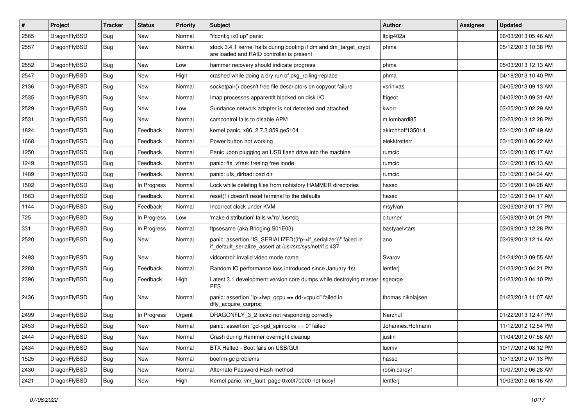| $\sharp$ | Project      | <b>Tracker</b> | <b>Status</b> | <b>Priority</b> | Subject                                                                                                                      | Author            | Assignee | <b>Updated</b>      |
|----------|--------------|----------------|---------------|-----------------|------------------------------------------------------------------------------------------------------------------------------|-------------------|----------|---------------------|
| 2565     | DragonFlyBSD | Bug            | New           | Normal          | "ifconfig ix0 up" panic                                                                                                      | Itpig402a         |          | 06/03/2013 05:46 AM |
| 2557     | DragonFlyBSD | Bug            | New           | Normal          | stock 3.4.1 kernel halts during booting if dm and dm_target_crypt<br>are loaded and RAID controller is present               | phma              |          | 05/12/2013 10:38 PM |
| 2552     | DragonFlyBSD | Bug            | New           | Low             | hammer recovery should indicate progress                                                                                     | phma              |          | 05/03/2013 12:13 AM |
| 2547     | DragonFlyBSD | Bug            | <b>New</b>    | High            | crashed while doing a dry run of pkg_rolling-replace                                                                         | phma              |          | 04/18/2013 10:40 PM |
| 2136     | DragonFlyBSD | Bug            | New           | Normal          | socketpair() doesn't free file descriptors on copyout failure                                                                | vsrinivas         |          | 04/05/2013 09:13 AM |
| 2535     | DragonFlyBSD | Bug            | New           | Normal          | Imap processes apparentlt blocked on disk I/O                                                                                | ftigeot           |          | 04/02/2013 09:31 AM |
| 2529     | DragonFlyBSD | Bug            | <b>New</b>    | Low             | Sundance network adapter is not detected and attached                                                                        | kworr             |          | 03/25/2013 02:29 AM |
| 2531     | DragonFlyBSD | Bug            | New           | Normal          | camcontrol fails to disable APM                                                                                              | m.lombardi85      |          | 03/23/2013 12:28 PM |
| 1824     | DragonFlyBSD | Bug            | Feedback      | Normal          | kernel panic, x86, 2.7.3.859.ge5104                                                                                          | akirchhoff135014  |          | 03/10/2013 07:49 AM |
| 1668     | DragonFlyBSD | Bug            | Feedback      | Normal          | Power button not working                                                                                                     | elekktretterr     |          | 03/10/2013 06:22 AM |
| 1250     | DragonFlyBSD | <b>Bug</b>     | Feedback      | Normal          | Panic upon plugging an USB flash drive into the machine                                                                      | rumcic            |          | 03/10/2013 05:17 AM |
| 1249     | DragonFlyBSD | <b>Bug</b>     | Feedback      | Normal          | panic: ffs vfree: freeing free inode                                                                                         | rumcic            |          | 03/10/2013 05:13 AM |
| 1489     | DragonFlyBSD | <b>Bug</b>     | Feedback      | Normal          | panic: ufs dirbad: bad dir                                                                                                   | rumcic            |          | 03/10/2013 04:34 AM |
| 1502     | DragonFlyBSD | <b>Bug</b>     | In Progress   | Normal          | Lock while deleting files from nohistory HAMMER directories                                                                  | hasso             |          | 03/10/2013 04:28 AM |
| 1563     | DragonFlyBSD | <b>Bug</b>     | Feedback      | Normal          | reset(1) doesn't reset terminal to the defaults                                                                              | hasso             |          | 03/10/2013 04:17 AM |
| 1144     | DragonFlyBSD | <b>Bug</b>     | Feedback      | Normal          | Incorrect clock under KVM                                                                                                    | msylvan           |          | 03/09/2013 01:17 PM |
| 725      | DragonFlyBSD | <b>Bug</b>     | In Progress   | Low             | 'make distribution' fails w/'ro' /usr/obj                                                                                    | c.turner          |          | 03/09/2013 01:01 PM |
| 331      | DragonFlyBSD | <b>Bug</b>     | In Progress   | Normal          | ftpsesame (aka Bridging S01E03)                                                                                              | bastyaelvtars     |          | 03/09/2013 12:28 PM |
| 2520     | DragonFlyBSD | <b>Bug</b>     | New           | Normal          | panic: assertion "IS_SERIALIZED((ifp->if_serializer))" failed in<br>if_default_serialize_assert at /usr/src/sys/net/if.c:437 | ano               |          | 03/09/2013 12:14 AM |
| 2493     | DragonFlyBSD | <b>Bug</b>     | New           | Normal          | vidcontrol: invalid video mode name                                                                                          | Svarov            |          | 01/24/2013 09:55 AM |
| 2288     | DragonFlyBSD | <b>Bug</b>     | Feedback      | Normal          | Random IO performance loss introduced since January 1st                                                                      | lentferj          |          | 01/23/2013 04:21 PM |
| 2396     | DragonFlyBSD | <b>Bug</b>     | Feedback      | High            | Latest 3.1 development version core dumps while destroying master<br><b>PFS</b>                                              | sgeorge           |          | 01/23/2013 04:10 PM |
| 2436     | DragonFlyBSD | <b>Bug</b>     | New           | Normal          | panic: assertion "lp->lwp_qcpu == dd->cpuid" failed in<br>dfly_acquire_curproc                                               | thomas.nikolajsen |          | 01/23/2013 11:07 AM |
| 2499     | DragonFlyBSD | <b>Bug</b>     | In Progress   | Urgent          | DRAGONFLY_3_2 lockd not responding correctly                                                                                 | Nerzhul           |          | 01/22/2013 12:47 PM |
| 2453     | DragonFlyBSD | <b>Bug</b>     | <b>New</b>    | Normal          | panic: assertion "gd->gd spinlocks == $0$ " failed                                                                           | Johannes.Hofmann  |          | 11/12/2012 12:54 PM |
| 2444     | DragonFlyBSD | <b>Bug</b>     | New           | Normal          | Crash during Hammer overnight cleanup                                                                                        | justin            |          | 11/04/2012 07:58 AM |
| 2434     | DragonFlyBSD | <b>Bug</b>     | <b>New</b>    | Normal          | BTX Halted - Boot fails on USB/GUI                                                                                           | lucmv             |          | 10/17/2012 08:12 PM |
| 1525     | DragonFlyBSD | <b>Bug</b>     | New           | Normal          | boehm-gc problems                                                                                                            | hasso             |          | 10/13/2012 07:13 PM |
| 2430     | DragonFlyBSD | <b>Bug</b>     | New           | Normal          | Alternate Password Hash method                                                                                               | robin.carey1      |          | 10/07/2012 06:28 AM |
| 2421     | DragonFlyBSD | <b>Bug</b>     | New           | High            | Kernel panic: vm_fault: page 0xc0f70000 not busy!                                                                            | lentferj          |          | 10/03/2012 08:16 AM |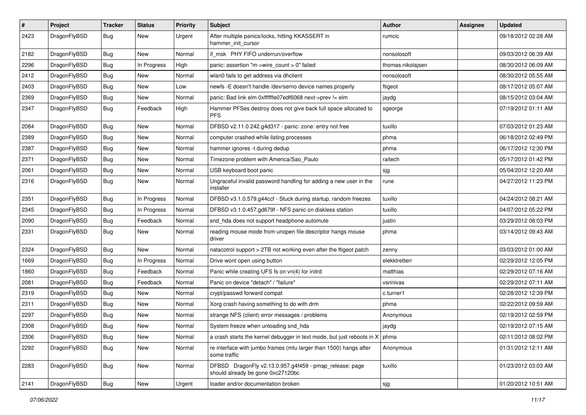| $\sharp$ | Project      | <b>Tracker</b> | <b>Status</b> | <b>Priority</b> | Subject                                                                                      | Author            | Assignee | <b>Updated</b>      |
|----------|--------------|----------------|---------------|-----------------|----------------------------------------------------------------------------------------------|-------------------|----------|---------------------|
| 2423     | DragonFlyBSD | Bug            | New           | Urgent          | After multiple panics/locks, hitting KKASSERT in<br>hammer init cursor                       | rumcic            |          | 09/18/2012 02:28 AM |
| 2182     | DragonFlyBSD | <b>Bug</b>     | New           | Normal          | if msk PHY FIFO underrun/overflow                                                            | nonsolosoft       |          | 09/03/2012 06:39 AM |
| 2296     | DragonFlyBSD | <b>Bug</b>     | In Progress   | High            | panic: assertion "m->wire count > 0" failed                                                  | thomas.nikolajsen |          | 08/30/2012 06:09 AM |
| 2412     | DragonFlyBSD | <b>Bug</b>     | New           | Normal          | wlan0 fails to get address via dhclient                                                      | nonsolosoft       |          | 08/30/2012 05:55 AM |
| 2403     | DragonFlyBSD | <b>Bug</b>     | <b>New</b>    | Low             | newfs - E doesn't handle /dev/serno device names properly                                    | ftigeot           |          | 08/17/2012 05:07 AM |
| 2369     | DragonFlyBSD | <b>Bug</b>     | New           | Normal          | panic: Bad link elm 0xffffffe07edf6068 next->prev != elm                                     | jaydg             |          | 08/15/2012 03:04 AM |
| 2347     | DragonFlyBSD | <b>Bug</b>     | Feedback      | High            | Hammer PFSes destroy does not give back full space allocated to<br><b>PFS</b>                | sgeorge           |          | 07/19/2012 01:11 AM |
| 2084     | DragonFlyBSD | <b>Bug</b>     | New           | Normal          | DFBSD v2.11.0.242.g4d317 - panic: zone: entry not free                                       | tuxillo           |          | 07/03/2012 01:23 AM |
| 2389     | DragonFlyBSD | <b>Bug</b>     | New           | Normal          | computer crashed while listing processes                                                     | phma              |          | 06/18/2012 02:49 PM |
| 2387     | DragonFlyBSD | <b>Bug</b>     | <b>New</b>    | Normal          | hammer ignores -t during dedup                                                               | phma              |          | 06/17/2012 12:30 PM |
| 2371     | DragonFlyBSD | <b>Bug</b>     | New           | Normal          | Timezone problem with America/Sao Paulo                                                      | raitech           |          | 05/17/2012 01:42 PM |
| 2061     | DragonFlyBSD | Bug            | <b>New</b>    | Normal          | USB keyboard boot panic                                                                      | sjg               |          | 05/04/2012 12:20 AM |
| 2316     | DragonFlyBSD | <b>Bug</b>     | New           | Normal          | Ungraceful invalid password handling for adding a new user in the<br>installer               | rune              |          | 04/27/2012 11:23 PM |
| 2351     | DragonFlyBSD | <b>Bug</b>     | In Progress   | Normal          | DFBSD v3.1.0.579.g44ccf - Stuck during startup, random freezes                               | tuxillo           |          | 04/24/2012 08:21 AM |
| 2345     | DragonFlyBSD | Bug            | In Progress   | Normal          | DFBSD v3.1.0.457.gd679f - NFS panic on diskless station                                      | tuxillo           |          | 04/07/2012 05:22 PM |
| 2090     | DragonFlyBSD | <b>Bug</b>     | Feedback      | Normal          | snd_hda does not support headphone automute                                                  | justin            |          | 03/29/2012 08:03 PM |
| 2331     | DragonFlyBSD | Bug            | New           | Normal          | reading mouse mode from unopen file descriptor hangs mouse<br>driver                         | phma              |          | 03/14/2012 09:43 AM |
| 2324     | DragonFlyBSD | Bug            | <b>New</b>    | Normal          | natacotrol support > 2TB not working even after the ftigeot patch                            | zenny             |          | 03/03/2012 01:00 AM |
| 1669     | DragonFlyBSD | Bug            | In Progress   | Normal          | Drive wont open using button                                                                 | elekktretterr     |          | 02/29/2012 12:05 PM |
| 1860     | DragonFlyBSD | <b>Bug</b>     | Feedback      | Normal          | Panic while creating UFS fs on vn(4) for initrd                                              | matthias          |          | 02/29/2012 07:16 AM |
| 2081     | DragonFlyBSD | <b>Bug</b>     | Feedback      | Normal          | Panic on device "detach" / "failure"                                                         | vsrinivas         |          | 02/29/2012 07:11 AM |
| 2319     | DragonFlyBSD | Bug            | New           | Normal          | crypt/passwd forward compat                                                                  | c.turner1         |          | 02/28/2012 12:39 PM |
| 2311     | DragonFlyBSD | <b>Bug</b>     | New           | Normal          | Xorg crash having something to do with drm                                                   | phma              |          | 02/22/2012 09:59 AM |
| 2297     | DragonFlyBSD | <b>Bug</b>     | New           | Normal          | strange NFS (client) error messages / problems                                               | Anonymous         |          | 02/19/2012 02:59 PM |
| 2308     | DragonFlyBSD | <b>Bug</b>     | New           | Normal          | System freeze when unloading snd_hda                                                         | jaydg             |          | 02/19/2012 07:15 AM |
| 2306     | DragonFlyBSD | <b>Bug</b>     | New           | Normal          | a crash starts the kernel debugger in text mode, but just reboots in $X \mid p$ hma          |                   |          | 02/11/2012 08:02 PM |
| 2292     | DragonFlyBSD | <b>Bug</b>     | New           | Normal          | re interface with jumbo frames (mtu larger than 1500) hangs after<br>some traffic            | Anonymous         |          | 01/31/2012 12:11 AM |
| 2283     | DragonFlyBSD | Bug            | New           | Normal          | DFBSD DragonFly v2.13.0.957.g4f459 - pmap_release: page<br>should already be gone 0xc27120bc | tuxillo           |          | 01/23/2012 03:03 AM |
| 2141     | DragonFlyBSD | Bug            | New           | Urgent          | loader and/or documentation broken                                                           | sjg               |          | 01/20/2012 10:51 AM |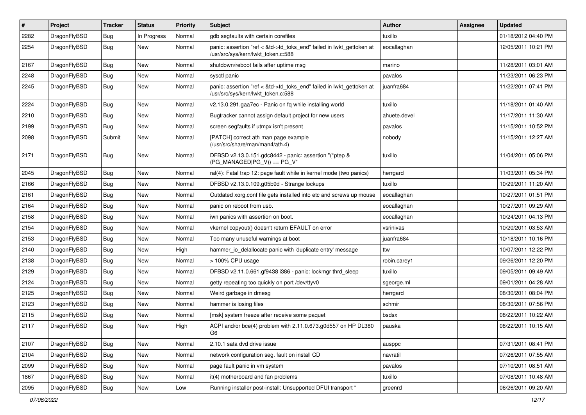| $\pmb{\#}$ | Project      | <b>Tracker</b> | <b>Status</b> | <b>Priority</b> | <b>Subject</b>                                                                                             | Author       | Assignee | <b>Updated</b>      |
|------------|--------------|----------------|---------------|-----------------|------------------------------------------------------------------------------------------------------------|--------------|----------|---------------------|
| 2282       | DragonFlyBSD | <b>Bug</b>     | In Progress   | Normal          | gdb segfaults with certain corefiles                                                                       | tuxillo      |          | 01/18/2012 04:40 PM |
| 2254       | DragonFlyBSD | <b>Bug</b>     | <b>New</b>    | Normal          | panic: assertion "ref < &td->td_toks_end" failed in lwkt_gettoken at<br>/usr/src/sys/kern/lwkt token.c:588 | eocallaghan  |          | 12/05/2011 10:21 PM |
| 2167       | DragonFlyBSD | Bug            | New           | Normal          | shutdown/reboot fails after uptime msg                                                                     | marino       |          | 11/28/2011 03:01 AM |
| 2248       | DragonFlyBSD | <b>Bug</b>     | New           | Normal          | sysctl panic                                                                                               | pavalos      |          | 11/23/2011 06:23 PM |
| 2245       | DragonFlyBSD | <b>Bug</b>     | New           | Normal          | panic: assertion "ref < &td->td_toks_end" failed in lwkt_gettoken at<br>/usr/src/sys/kern/lwkt_token.c:588 | juanfra684   |          | 11/22/2011 07:41 PM |
| 2224       | DragonFlyBSD | <b>Bug</b>     | New           | Normal          | v2.13.0.291.gaa7ec - Panic on fq while installing world                                                    | tuxillo      |          | 11/18/2011 01:40 AM |
| 2210       | DragonFlyBSD | Bug            | <b>New</b>    | Normal          | Bugtracker cannot assign default project for new users                                                     | ahuete.devel |          | 11/17/2011 11:30 AM |
| 2199       | DragonFlyBSD | Bug            | New           | Normal          | screen segfaults if utmpx isn't present                                                                    | pavalos      |          | 11/15/2011 10:52 PM |
| 2098       | DragonFlyBSD | Submit         | New           | Normal          | [PATCH] correct ath man page example<br>(/usr/src/share/man/man4/ath.4)                                    | nobody       |          | 11/15/2011 12:27 AM |
| 2171       | DragonFlyBSD | Bug            | <b>New</b>    | Normal          | DFBSD v2.13.0.151.gdc8442 - panic: assertion "(*ptep &<br>$(PG_MANAGED PG_V)$ == PG_V"                     | tuxillo      |          | 11/04/2011 05:06 PM |
| 2045       | DragonFlyBSD | Bug            | <b>New</b>    | Normal          | ral(4): Fatal trap 12: page fault while in kernel mode (two panics)                                        | herrgard     |          | 11/03/2011 05:34 PM |
| 2166       | DragonFlyBSD | Bug            | New           | Normal          | DFBSD v2.13.0.109.g05b9d - Strange lockups                                                                 | tuxillo      |          | 10/29/2011 11:20 AM |
| 2161       | DragonFlyBSD | <b>Bug</b>     | New           | Normal          | Outdated xorg.conf file gets installed into etc and screws up mouse                                        | eocallaghan  |          | 10/27/2011 01:51 PM |
| 2164       | DragonFlyBSD | Bug            | New           | Normal          | panic on reboot from usb.                                                                                  | eocallaghan  |          | 10/27/2011 09:29 AM |
| 2158       | DragonFlyBSD | Bug            | New           | Normal          | iwn panics with assertion on boot.                                                                         | eocallaghan  |          | 10/24/2011 04:13 PM |
| 2154       | DragonFlyBSD | <b>Bug</b>     | New           | Normal          | vkernel copyout() doesn't return EFAULT on error                                                           | vsrinivas    |          | 10/20/2011 03:53 AM |
| 2153       | DragonFlyBSD | Bug            | New           | Normal          | Too many unuseful warnings at boot                                                                         | juanfra684   |          | 10/18/2011 10:16 PM |
| 2140       | DragonFlyBSD | Bug            | <b>New</b>    | High            | hammer_io_delallocate panic with 'duplicate entry' message                                                 | ttw          |          | 10/07/2011 12:22 PM |
| 2138       | DragonFlyBSD | <b>Bug</b>     | New           | Normal          | > 100% CPU usage                                                                                           | robin.carey1 |          | 09/26/2011 12:20 PM |
| 2129       | DragonFlyBSD | Bug            | New           | Normal          | DFBSD v2.11.0.661.gf9438 i386 - panic: lockmgr thrd sleep                                                  | tuxillo      |          | 09/05/2011 09:49 AM |
| 2124       | DragonFlyBSD | Bug            | New           | Normal          | getty repeating too quickly on port /dev/ttyv0                                                             | sgeorge.ml   |          | 09/01/2011 04:28 AM |
| 2125       | DragonFlyBSD | <b>Bug</b>     | <b>New</b>    | Normal          | Weird garbage in dmesg                                                                                     | herrgard     |          | 08/30/2011 08:04 PM |
| 2123       | DragonFlyBSD | <b>Bug</b>     | New           | Normal          | hammer is losing files                                                                                     | schmir       |          | 08/30/2011 07:56 PM |
| 2115       | DragonFlyBSD | Bug            | New           | Normal          | [msk] system freeze after receive some paquet                                                              | bsdsx        |          | 08/22/2011 10:22 AM |
| 2117       | DragonFlyBSD | <b>Bug</b>     | New           | High            | ACPI and/or bce(4) problem with 2.11.0.673.g0d557 on HP DL380<br>Gb                                        | pauska       |          | 08/22/2011 10:15 AM |
| 2107       | DragonFlyBSD | <b>Bug</b>     | <b>New</b>    | Normal          | 2.10.1 sata dvd drive issue                                                                                | ausppc       |          | 07/31/2011 08:41 PM |
| 2104       | DragonFlyBSD | <b>Bug</b>     | New           | Normal          | network configuration seg. fault on install CD                                                             | navratil     |          | 07/26/2011 07:55 AM |
| 2099       | DragonFlyBSD | <b>Bug</b>     | New           | Normal          | page fault panic in vm system                                                                              | pavalos      |          | 07/10/2011 08:51 AM |
| 1867       | DragonFlyBSD | <b>Bug</b>     | New           | Normal          | it(4) motherboard and fan problems                                                                         | tuxillo      |          | 07/08/2011 10:48 AM |
| 2095       | DragonFlyBSD | Bug            | New           | Low             | Running installer post-install: Unsupported DFUI transport "                                               | greenrd      |          | 06/26/2011 09:20 AM |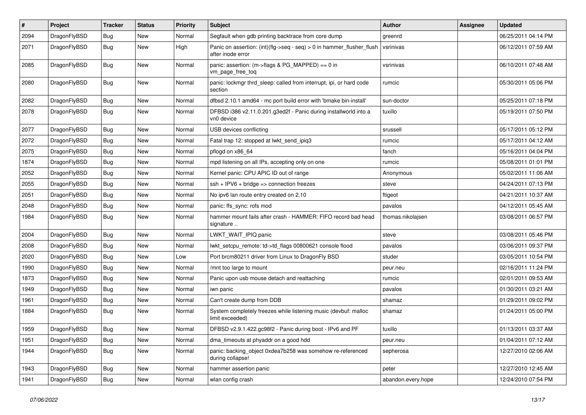| $\sharp$ | Project      | <b>Tracker</b> | <b>Status</b> | <b>Priority</b> | Subject                                                                                    | Author             | Assignee | <b>Updated</b>      |
|----------|--------------|----------------|---------------|-----------------|--------------------------------------------------------------------------------------------|--------------------|----------|---------------------|
| 2094     | DragonFlyBSD | <b>Bug</b>     | New           | Normal          | Segfault when gdb printing backtrace from core dump                                        | greenrd            |          | 06/25/2011 04:14 PM |
| 2071     | DragonFlyBSD | <b>Bug</b>     | <b>New</b>    | High            | Panic on assertion: (int)(flg->seq - seq) > 0 in hammer_flusher_flush<br>after inode error | vsrinivas          |          | 06/12/2011 07:59 AM |
| 2085     | DragonFlyBSD | Bug            | <b>New</b>    | Normal          | panic: assertion: (m->flags & PG_MAPPED) == 0 in<br>vm_page_free_toq                       | vsrinivas          |          | 06/10/2011 07:48 AM |
| 2080     | DragonFlyBSD | <b>Bug</b>     | New           | Normal          | panic: lockmgr thrd sleep: called from interrupt, ipi, or hard code<br>section             | rumcic             |          | 05/30/2011 05:06 PM |
| 2082     | DragonFlyBSD | Bug            | <b>New</b>    | Normal          | dfbsd 2.10.1 amd64 - mc port build error with 'bmake bin-install'                          | sun-doctor         |          | 05/25/2011 07:18 PM |
| 2078     | DragonFlyBSD | <b>Bug</b>     | <b>New</b>    | Normal          | DFBSD i386 v2.11.0.201.g3ed2f - Panic during installworld into a<br>vn0 device             | tuxillo            |          | 05/19/2011 07:50 PM |
| 2077     | DragonFlyBSD | <b>Bug</b>     | <b>New</b>    | Normal          | USB devices conflicting                                                                    | srussell           |          | 05/17/2011 05:12 PM |
| 2072     | DragonFlyBSD | <b>Bug</b>     | New           | Normal          | Fatal trap 12: stopped at lwkt_send_ipiq3                                                  | rumcic             |          | 05/17/2011 04:12 AM |
| 2075     | DragonFlyBSD | Bug            | <b>New</b>    | Normal          | pflogd on x86_64                                                                           | fanch              |          | 05/16/2011 04:04 PM |
| 1874     | DragonFlyBSD | <b>Bug</b>     | New           | Normal          | mpd listening on all IPs, accepting only on one                                            | rumcic             |          | 05/08/2011 01:01 PM |
| 2052     | DragonFlyBSD | <b>Bug</b>     | <b>New</b>    | Normal          | Kernel panic: CPU APIC ID out of range                                                     | Anonymous          |          | 05/02/2011 11:06 AM |
| 2055     | DragonFlyBSD | <b>Bug</b>     | New           | Normal          | $ssh + IPV6 + bridge \Rightarrow connection freezes$                                       | steve              |          | 04/24/2011 07:13 PM |
| 2051     | DragonFlyBSD | <b>Bug</b>     | New           | Normal          | No ipv6 lan route entry created on 2.10                                                    | ftigeot            |          | 04/21/2011 10:37 AM |
| 2048     | DragonFlyBSD | <b>Bug</b>     | <b>New</b>    | Normal          | panic: ffs sync: rofs mod                                                                  | pavalos            |          | 04/12/2011 05:45 AM |
| 1984     | DragonFlyBSD | <b>Bug</b>     | New           | Normal          | hammer mount fails after crash - HAMMER: FIFO record bad head<br>signature                 | thomas.nikolaisen  |          | 03/08/2011 06:57 PM |
| 2004     | DragonFlyBSD | <b>Bug</b>     | New           | Normal          | LWKT_WAIT_IPIQ panic                                                                       | steve              |          | 03/08/2011 05:46 PM |
| 2008     | DragonFlyBSD | <b>Bug</b>     | New           | Normal          | lwkt_setcpu_remote: td->td_flags 00800621 console flood                                    | pavalos            |          | 03/06/2011 09:37 PM |
| 2020     | DragonFlyBSD | <b>Bug</b>     | New           | Low             | Port brcm80211 driver from Linux to DragonFly BSD                                          | studer             |          | 03/05/2011 10:54 PM |
| 1990     | DragonFlyBSD | <b>Bug</b>     | <b>New</b>    | Normal          | /mnt too large to mount                                                                    | peur.neu           |          | 02/16/2011 11:24 PM |
| 1873     | DragonFlyBSD | <b>Bug</b>     | New           | Normal          | Panic upon usb mouse detach and reattaching                                                | rumcic             |          | 02/01/2011 09:53 AM |
| 1949     | DragonFlyBSD | <b>Bug</b>     | New           | Normal          | iwn panic                                                                                  | pavalos            |          | 01/30/2011 03:21 AM |
| 1961     | DragonFlyBSD | <b>Bug</b>     | New           | Normal          | Can't create dump from DDB                                                                 | shamaz             |          | 01/29/2011 09:02 PM |
| 1884     | DragonFlyBSD | <b>Bug</b>     | New           | Normal          | System completely freezes while listening music (devbuf: malloc<br>limit exceeded)         | shamaz             |          | 01/24/2011 05:00 PM |
| 1959     | DragonFlyBSD | Bug            | <b>New</b>    | Normal          | DFBSD v2.9.1.422.gc98f2 - Panic during boot - IPv6 and PF                                  | tuxillo            |          | 01/13/2011 03:37 AM |
| 1951     | DragonFlyBSD | <b>Bug</b>     | New           | Normal          | dma_timeouts at phyaddr on a good hdd                                                      | peur.neu           |          | 01/04/2011 07:12 AM |
| 1944     | DragonFlyBSD | <b>Bug</b>     | New           | Normal          | panic: backing_object 0xdea7b258 was somehow re-referenced<br>during collapse!             | sepherosa          |          | 12/27/2010 02:06 AM |
| 1943     | DragonFlyBSD | <b>Bug</b>     | <b>New</b>    | Normal          | hammer assertion panic                                                                     | peter              |          | 12/27/2010 12:45 AM |
| 1941     | DragonFlyBSD | <b>Bug</b>     | New           | Normal          | wlan config crash                                                                          | abandon.every.hope |          | 12/24/2010 07:54 PM |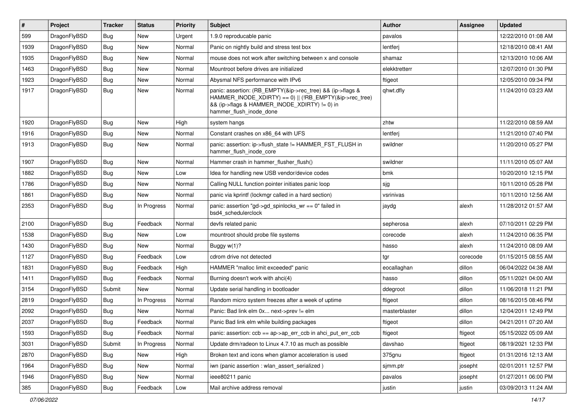| #    | Project      | <b>Tracker</b> | <b>Status</b> | <b>Priority</b> | <b>Subject</b>                                                                                                                                                                                    | Author        | Assignee | <b>Updated</b>      |
|------|--------------|----------------|---------------|-----------------|---------------------------------------------------------------------------------------------------------------------------------------------------------------------------------------------------|---------------|----------|---------------------|
| 599  | DragonFlyBSD | Bug            | <b>New</b>    | Urgent          | 1.9.0 reproducable panic                                                                                                                                                                          | pavalos       |          | 12/22/2010 01:08 AM |
| 1939 | DragonFlyBSD | Bug            | <b>New</b>    | Normal          | Panic on nightly build and stress test box                                                                                                                                                        | lentferj      |          | 12/18/2010 08:41 AM |
| 1935 | DragonFlyBSD | <b>Bug</b>     | <b>New</b>    | Normal          | mouse does not work after switching between x and console                                                                                                                                         | shamaz        |          | 12/13/2010 10:06 AM |
| 1463 | DragonFlyBSD | Bug            | <b>New</b>    | Normal          | Mountroot before drives are initialized                                                                                                                                                           | elekktretterr |          | 12/07/2010 01:30 PM |
| 1923 | DragonFlyBSD | <b>Bug</b>     | <b>New</b>    | Normal          | Abysmal NFS performance with IPv6                                                                                                                                                                 | ftigeot       |          | 12/05/2010 09:34 PM |
| 1917 | DragonFlyBSD | Bug            | New           | Normal          | panic: assertion: (RB_EMPTY(&ip->rec_tree) && (ip->flags &<br>HAMMER_INODE_XDIRTY) == 0)    (!RB_EMPTY(&ip->rec_tree)<br>&& (ip->flags & HAMMER_INODE_XDIRTY) != 0) in<br>hammer flush inode done | qhwt.dfly     |          | 11/24/2010 03:23 AM |
| 1920 | DragonFlyBSD | Bug            | <b>New</b>    | High            | system hangs                                                                                                                                                                                      | zhtw          |          | 11/22/2010 08:59 AM |
| 1916 | DragonFlyBSD | <b>Bug</b>     | <b>New</b>    | Normal          | Constant crashes on x86_64 with UFS                                                                                                                                                               | lentferj      |          | 11/21/2010 07:40 PM |
| 1913 | DragonFlyBSD | Bug            | <b>New</b>    | Normal          | panic: assertion: ip->flush_state != HAMMER_FST_FLUSH in<br>hammer_flush_inode_core                                                                                                               | swildner      |          | 11/20/2010 05:27 PM |
| 1907 | DragonFlyBSD | <b>Bug</b>     | <b>New</b>    | Normal          | Hammer crash in hammer_flusher_flush()                                                                                                                                                            | swildner      |          | 11/11/2010 05:07 AM |
| 1882 | DragonFlyBSD | Bug            | <b>New</b>    | Low             | Idea for handling new USB vendor/device codes                                                                                                                                                     | bmk           |          | 10/20/2010 12:15 PM |
| 1786 | DragonFlyBSD | <b>Bug</b>     | <b>New</b>    | Normal          | Calling NULL function pointer initiates panic loop                                                                                                                                                | sjg           |          | 10/11/2010 05:28 PM |
| 1861 | DragonFlyBSD | Bug            | <b>New</b>    | Normal          | panic via kprintf (lockmgr called in a hard section)                                                                                                                                              | vsrinivas     |          | 10/11/2010 12:56 AM |
| 2353 | DragonFlyBSD | Bug            | In Progress   | Normal          | panic: assertion "gd->gd_spinlocks_wr == 0" failed in<br>bsd4_schedulerclock                                                                                                                      | jaydg         | alexh    | 11/28/2012 01:57 AM |
| 2100 | DragonFlyBSD | Bug            | Feedback      | Normal          | devfs related panic                                                                                                                                                                               | sepherosa     | alexh    | 07/10/2011 02:29 PM |
| 1538 | DragonFlyBSD | <b>Bug</b>     | <b>New</b>    | Low             | mountroot should probe file systems                                                                                                                                                               | corecode      | alexh    | 11/24/2010 06:35 PM |
| 1430 | DragonFlyBSD | <b>Bug</b>     | New           | Normal          | Buggy $w(1)$ ?                                                                                                                                                                                    | hasso         | alexh    | 11/24/2010 08:09 AM |
| 1127 | DragonFlyBSD | Bug            | Feedback      | Low             | cdrom drive not detected                                                                                                                                                                          | tgr           | corecode | 01/15/2015 08:55 AM |
| 1831 | DragonFlyBSD | <b>Bug</b>     | Feedback      | High            | HAMMER "malloc limit exceeded" panic                                                                                                                                                              | eocallaghan   | dillon   | 06/04/2022 04:38 AM |
| 1411 | DragonFlyBSD | Bug            | Feedback      | Normal          | Burning doesn't work with ahci(4)                                                                                                                                                                 | hasso         | dillon   | 05/11/2021 04:00 AM |
| 3154 | DragonFlyBSD | Submit         | New           | Normal          | Update serial handling in bootloader                                                                                                                                                              | ddegroot      | dillon   | 11/06/2018 11:21 PM |
| 2819 | DragonFlyBSD | Bug            | In Progress   | Normal          | Random micro system freezes after a week of uptime                                                                                                                                                | ftigeot       | dillon   | 08/16/2015 08:46 PM |
| 2092 | DragonFlyBSD | Bug            | New           | Normal          | Panic: Bad link elm 0x next->prev != elm                                                                                                                                                          | masterblaster | dillon   | 12/04/2011 12:49 PM |
| 2037 | DragonFlyBSD | <b>Bug</b>     | Feedback      | Normal          | Panic Bad link elm while building packages                                                                                                                                                        | ftigeot       | dillon   | 04/21/2011 07:20 AM |
| 1593 | DragonFlyBSD | <b>Bug</b>     | Feedback      | Normal          | panic: assertion: ccb == ap->ap_err_ccb in ahci_put_err_ccb                                                                                                                                       | ftigeot       | ftigeot  | 05/15/2022 05:09 AM |
| 3031 | DragonFlyBSD | Submit         | In Progress   | Normal          | Update drm/radeon to Linux 4.7.10 as much as possible                                                                                                                                             | davshao       | ftigeot  | 08/19/2021 12:33 PM |
| 2870 | DragonFlyBSD | <b>Bug</b>     | New           | High            | Broken text and icons when glamor acceleration is used                                                                                                                                            | 375gnu        | ftigeot  | 01/31/2016 12:13 AM |
| 1964 | DragonFlyBSD | Bug            | New           | Normal          | iwn (panic assertion : wlan assert serialized)                                                                                                                                                    | sjmm.ptr      | josepht  | 02/01/2011 12:57 PM |
| 1946 | DragonFlyBSD | <b>Bug</b>     | New           | Normal          | ieee80211 panic                                                                                                                                                                                   | pavalos       | josepht  | 01/27/2011 06:00 PM |
| 385  | DragonFlyBSD | Bug            | Feedback      | Low             | Mail archive address removal                                                                                                                                                                      | justin        | justin   | 03/09/2013 11:24 AM |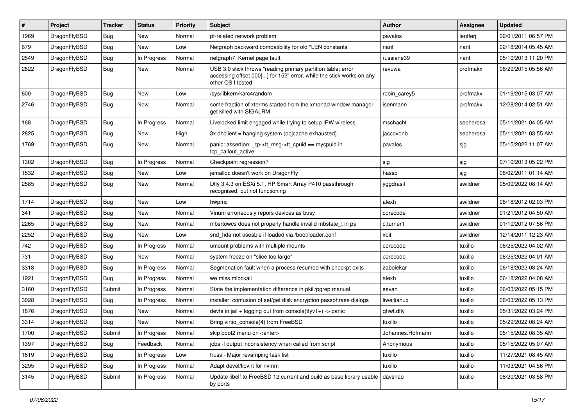| #    | Project      | <b>Tracker</b> | <b>Status</b> | <b>Priority</b> | Subject                                                                                                                                                  | <b>Author</b>    | Assignee  | <b>Updated</b>      |
|------|--------------|----------------|---------------|-----------------|----------------------------------------------------------------------------------------------------------------------------------------------------------|------------------|-----------|---------------------|
| 1969 | DragonFlyBSD | Bug            | <b>New</b>    | Normal          | pf-related network problem                                                                                                                               | pavalos          | lentferj  | 02/01/2011 06:57 PM |
| 679  | DragonFlyBSD | <b>Bug</b>     | <b>New</b>    | Low             | Netgraph backward compatibility for old *LEN constants                                                                                                   | nant             | nant      | 02/18/2014 05:45 AM |
| 2549 | DragonFlyBSD | <b>Bug</b>     | In Progress   | Normal          | netgraph7: Kernel page fault.                                                                                                                            | russiane39       | nant      | 05/10/2013 11:20 PM |
| 2822 | DragonFlyBSD | Bug            | <b>New</b>    | Normal          | USB 3.0 stick throws "reading primary partition table: error<br>accessing offset 000[] for 152" error, while the stick works on any<br>other OS I tested | revuwa           | profmakx  | 06/29/2015 05:56 AM |
| 600  | DragonFlyBSD | Bug            | <b>New</b>    | Low             | /sys/libkern/karc4random                                                                                                                                 | robin_carey5     | profmakx  | 01/19/2015 03:07 AM |
| 2746 | DragonFlyBSD | Bug            | <b>New</b>    | Normal          | some fraction of xterms started from the xmonad window manager<br>get killed with SIGALRM                                                                | isenmann         | profmakx  | 12/28/2014 02:51 AM |
| 168  | DragonFlyBSD | <b>Bug</b>     | In Progress   | Normal          | Livelocked limit engaged while trying to setup IPW wireless                                                                                              | mschacht         | sepherosa | 05/11/2021 04:05 AM |
| 2825 | DragonFlyBSD | <b>Bug</b>     | <b>New</b>    | High            | 3x dhclient = hanging system (objcache exhausted)                                                                                                        | jaccovonb        | sepherosa | 05/11/2021 03:55 AM |
| 1769 | DragonFlyBSD | Bug            | New           | Normal          | panic: assertion: _tp->tt_msg->tt_cpuid == mycpuid in<br>tcp_callout_active                                                                              | pavalos          | sjg       | 05/15/2022 11:07 AM |
| 1302 | DragonFlyBSD | <b>Bug</b>     | In Progress   | Normal          | Checkpoint regression?                                                                                                                                   | sjg              | sjg       | 07/10/2013 05:22 PM |
| 1532 | DragonFlyBSD | Bug            | <b>New</b>    | Low             | jemalloc doesn't work on DragonFly                                                                                                                       | hasso            | sjg       | 08/02/2011 01:14 AM |
| 2585 | DragonFlyBSD | <b>Bug</b>     | New           | Normal          | Dfly 3.4.3 on ESXi 5.1, HP Smart Array P410 passthrough<br>recognised, but not functioning                                                               | yggdrasil        | swildner  | 05/09/2022 08:14 AM |
| 1714 | DragonFlyBSD | Bug            | <b>New</b>    | Low             | hwpmc                                                                                                                                                    | alexh            | swildner  | 08/18/2012 02:03 PM |
| 341  | DragonFlyBSD | <b>Bug</b>     | <b>New</b>    | Normal          | Vinum erroneously repors devices as busy                                                                                                                 | corecode         | swildner  | 01/21/2012 04:50 AM |
| 2265 | DragonFlyBSD | Bug            | <b>New</b>    | Normal          | mbsrtowcs does not properly handle invalid mbstate t in ps                                                                                               | c.turner1        | swildner  | 01/10/2012 07:56 PM |
| 2252 | DragonFlyBSD | <b>Bug</b>     | <b>New</b>    | Low             | snd hda not useable if loaded via /boot/loader.conf                                                                                                      | xbit             | swildner  | 12/14/2011 12:23 AM |
| 742  | DragonFlyBSD | <b>Bug</b>     | In Progress   | Normal          | umount problems with multiple mounts                                                                                                                     | corecode         | tuxillo   | 06/25/2022 04:02 AM |
| 731  | DragonFlyBSD | Bug            | <b>New</b>    | Normal          | system freeze on "slice too large"                                                                                                                       | corecode         | tuxillo   | 06/25/2022 04:01 AM |
| 3318 | DragonFlyBSD | Bug            | In Progress   | Normal          | Segmenation fault when a process resumed with checkpt exits                                                                                              | zabolekar        | tuxillo   | 06/18/2022 08:24 AM |
| 1921 | DragonFlyBSD | Bug            | In Progress   | Normal          | we miss mlockall                                                                                                                                         | alexh            | tuxillo   | 06/18/2022 04:08 AM |
| 3160 | DragonFlyBSD | Submit         | In Progress   | Normal          | State the implementation difference in pkill/pgrep manual                                                                                                | sevan            | tuxillo   | 06/03/2022 05:15 PM |
| 3028 | DragonFlyBSD | <b>Bug</b>     | In Progress   | Normal          | installer: confusion of set/get disk encryption passphrase dialogs                                                                                       | liweitianux      | tuxillo   | 06/03/2022 05:13 PM |
| 1876 | DragonFlyBSD | Bug            | <b>New</b>    | Normal          | devfs in jail + logging out from console(ttyv1+) -> panic                                                                                                | qhwt.dfly        | tuxillo   | 05/31/2022 03:24 PM |
| 3314 | DragonFlyBSD | Bug            | New           | Normal          | Bring virtio console(4) from FreeBSD                                                                                                                     | tuxillo          | tuxillo   | 05/29/2022 08:24 AM |
| 1700 | DragonFlyBSD | Submit         | In Progress   | Normal          | skip boot2 menu on <enter></enter>                                                                                                                       | Johannes.Hofmann | tuxillo   | 05/15/2022 08:35 AM |
| 1397 | DragonFlyBSD | <b>Bug</b>     | Feedback      | Normal          | jobs -I output inconsistency when called from script                                                                                                     | Anonymous        | tuxillo   | 05/15/2022 05:07 AM |
| 1819 | DragonFlyBSD | <b>Bug</b>     | In Progress   | Low             | truss - Major revamping task list                                                                                                                        | tuxillo          | tuxillo   | 11/27/2021 08:45 AM |
| 3295 | DragonFlyBSD | <b>Bug</b>     | In Progress   | Normal          | Adapt devel/libvirt for nvmm                                                                                                                             | tuxillo          | tuxillo   | 11/03/2021 04:56 PM |
| 3145 | DragonFlyBSD | Submit         | In Progress   | Normal          | Update libelf to FreeBSD 12 current and build as base library usable<br>by ports                                                                         | davshao          | tuxillo   | 08/20/2021 03:58 PM |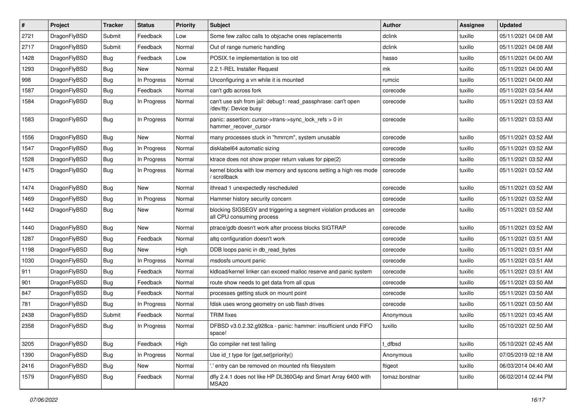| $\vert$ # | Project      | <b>Tracker</b> | <b>Status</b> | <b>Priority</b> | Subject                                                                                      | <b>Author</b>  | <b>Assignee</b> | <b>Updated</b>      |
|-----------|--------------|----------------|---------------|-----------------|----------------------------------------------------------------------------------------------|----------------|-----------------|---------------------|
| 2721      | DragonFlyBSD | Submit         | Feedback      | Low             | Some few zalloc calls to objcache ones replacements                                          | dclink         | tuxillo         | 05/11/2021 04:08 AM |
| 2717      | DragonFlyBSD | Submit         | Feedback      | Normal          | Out of range numeric handling                                                                | dclink         | tuxillo         | 05/11/2021 04:08 AM |
| 1428      | DragonFlyBSD | <b>Bug</b>     | Feedback      | Low             | POSIX.1e implementation is too old                                                           | hasso          | tuxillo         | 05/11/2021 04:00 AM |
| 1293      | DragonFlyBSD | <b>Bug</b>     | <b>New</b>    | Normal          | 2.2.1-REL Installer Request                                                                  | mk             | tuxillo         | 05/11/2021 04:00 AM |
| 998       | DragonFlyBSD | <b>Bug</b>     | In Progress   | Normal          | Unconfiguring a vn while it is mounted                                                       | rumcic         | tuxillo         | 05/11/2021 04:00 AM |
| 1587      | DragonFlyBSD | <b>Bug</b>     | Feedback      | Normal          | can't gdb across fork                                                                        | corecode       | tuxillo         | 05/11/2021 03:54 AM |
| 1584      | DragonFlyBSD | <b>Bug</b>     | In Progress   | Normal          | can't use ssh from jail: debug1: read_passphrase: can't open<br>/dev/tty: Device busy        | corecode       | tuxillo         | 05/11/2021 03:53 AM |
| 1583      | DragonFlyBSD | Bug            | In Progress   | Normal          | panic: assertion: cursor->trans->sync_lock_refs > 0 in<br>hammer_recover_cursor              | corecode       | tuxillo         | 05/11/2021 03:53 AM |
| 1556      | DragonFlyBSD | <b>Bug</b>     | New           | Normal          | many processes stuck in "hmrrcm", system unusable                                            | corecode       | tuxillo         | 05/11/2021 03:52 AM |
| 1547      | DragonFlyBSD | <b>Bug</b>     | In Progress   | Normal          | disklabel64 automatic sizing                                                                 | corecode       | tuxillo         | 05/11/2021 03:52 AM |
| 1528      | DragonFlyBSD | <b>Bug</b>     | In Progress   | Normal          | ktrace does not show proper return values for pipe(2)                                        | corecode       | tuxillo         | 05/11/2021 03:52 AM |
| 1475      | DragonFlyBSD | <b>Bug</b>     | In Progress   | Normal          | kernel blocks with low memory and syscons setting a high res mode<br>/ scrollback            | corecode       | tuxillo         | 05/11/2021 03:52 AM |
| 1474      | DragonFlyBSD | <b>Bug</b>     | <b>New</b>    | Normal          | ithread 1 unexpectedly rescheduled                                                           | corecode       | tuxillo         | 05/11/2021 03:52 AM |
| 1469      | DragonFlyBSD | <b>Bug</b>     | In Progress   | Normal          | Hammer history security concern                                                              | corecode       | tuxillo         | 05/11/2021 03:52 AM |
| 1442      | DragonFlyBSD | <b>Bug</b>     | <b>New</b>    | Normal          | blocking SIGSEGV and triggering a segment violation produces an<br>all CPU consuming process | corecode       | tuxillo         | 05/11/2021 03:52 AM |
| 1440      | DragonFlyBSD | <b>Bug</b>     | <b>New</b>    | Normal          | ptrace/gdb doesn't work after process blocks SIGTRAP                                         | corecode       | tuxillo         | 05/11/2021 03:52 AM |
| 1287      | DragonFlyBSD | <b>Bug</b>     | Feedback      | Normal          | altq configuration doesn't work                                                              | corecode       | tuxillo         | 05/11/2021 03:51 AM |
| 1198      | DragonFlyBSD | Bug            | <b>New</b>    | High            | DDB loops panic in db read bytes                                                             | corecode       | tuxillo         | 05/11/2021 03:51 AM |
| 1030      | DragonFlyBSD | <b>Bug</b>     | In Progress   | Normal          | msdosfs umount panic                                                                         | corecode       | tuxillo         | 05/11/2021 03:51 AM |
| 911       | DragonFlyBSD | <b>Bug</b>     | Feedback      | Normal          | kldload/kernel linker can exceed malloc reserve and panic system                             | corecode       | tuxillo         | 05/11/2021 03:51 AM |
| 901       | DragonFlyBSD | <b>Bug</b>     | Feedback      | Normal          | route show needs to get data from all cpus                                                   | corecode       | tuxillo         | 05/11/2021 03:50 AM |
| 847       | DragonFlyBSD | <b>Bug</b>     | Feedback      | Normal          | processes getting stuck on mount point                                                       | corecode       | tuxillo         | 05/11/2021 03:50 AM |
| 781       | DragonFlyBSD | <b>Bug</b>     | In Progress   | Normal          | fdisk uses wrong geometry on usb flash drives                                                | corecode       | tuxillo         | 05/11/2021 03:50 AM |
| 2438      | DragonFlyBSD | Submit         | Feedback      | Normal          | TRIM fixes                                                                                   | Anonymous      | tuxillo         | 05/11/2021 03:45 AM |
| 2358      | DragonFlyBSD | <b>Bug</b>     | In Progress   | Normal          | DFBSD v3.0.2.32.g928ca - panic: hammer: insufficient undo FIFO<br>space!                     | tuxillo        | tuxillo         | 05/10/2021 02:50 AM |
| 3205      | DragonFlyBSD | <b>Bug</b>     | Feedback      | High            | Go compiler net test failing                                                                 | t_dfbsd        | tuxillo         | 05/10/2021 02:45 AM |
| 1390      | DragonFlyBSD | <b>Bug</b>     | In Progress   | Normal          | Use id_t type for {get,set}priority()                                                        | Anonymous      | tuxillo         | 07/05/2019 02:18 AM |
| 2416      | DragonFlyBSD | <b>Bug</b>     | New           | Normal          | ".' entry can be removed on mounted nfs filesystem                                           | ftigeot        | tuxillo         | 06/03/2014 04:40 AM |
| 1579      | DragonFlyBSD | Bug            | Feedback      | Normal          | dfly 2.4.1 does not like HP DL360G4p and Smart Array 6400 with<br>MSA20                      | tomaz.borstnar | tuxillo         | 06/02/2014 02:44 PM |